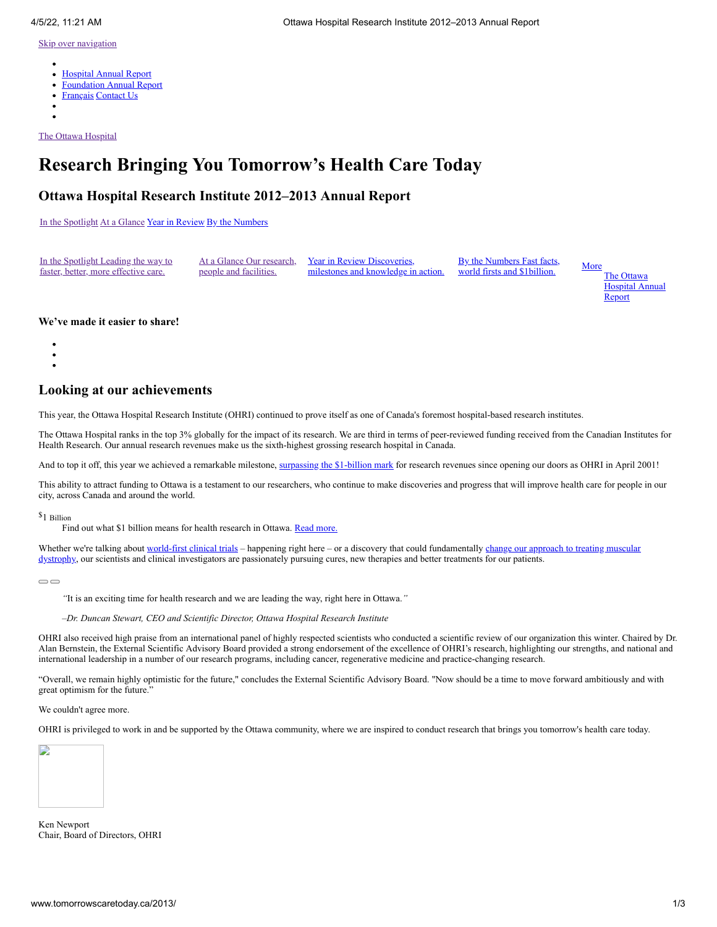- $\bullet$ [Hospital Annual Report](http://www.worldclasscare.ca/2013/)
- [Foundation Annual Report](http://ohfoundation.ca/sites/default/files/annual_report_12-13-e.pdf)
- [Français](http://www.soinsdedemain.ca/2013/) [Contact Us](http://www.tomorrowscaretoday.ca/2013/contact-us/)
- 

[The Ottawa Hospital](http://www.tomorrowscaretoday.ca/2013/)

# **Research Bringing You Tomorrow's Health Care Today**

### **Ottawa Hospital Research Institute 2012–2013 Annual Report**

[In the Spotlight](http://www.tomorrowscaretoday.ca/2013/spotlight/) [At a Glance](http://www.tomorrowscaretoday.ca/2013/at-a-glance/) [Year in Review](http://www.tomorrowscaretoday.ca/2013/year-in-review/) [By the Numbers](http://www.tomorrowscaretoday.ca/2013/by-the-numbers/)

| In the Spotlight Leading the way to  |                        | At a Glance Our research. Year in Review Discoveries.            | By the Numbers Fast facts, | More |
|--------------------------------------|------------------------|------------------------------------------------------------------|----------------------------|------|
| faster, better, more effective care. | people and facilities. | milestones and knowledge in action. world firsts and \$1billion. |                            |      |
|                                      |                        |                                                                  |                            |      |

The Ottawa Hospital Annual **Report** 

### <span id="page-0-0"></span>**We've made it easier to share!**

- 
- $\bullet$
- 

## **Looking at our achievements**

This year, the Ottawa Hospital Research Institute (OHRI) continued to prove itself as one of Canada's foremost hospital-based research institutes.

The Ottawa Hospital ranks in the top 3% globally for the impact of its research. We are third in terms of peer-reviewed funding received from the Canadian Institutes for Health Research. Our annual research revenues make us the sixth-highest grossing research hospital in Canada.

And to top it off, this year we achieved a remarkable milestone, [surpassing the \\$1-billion mark](http://www.tomorrowscaretoday.ca/2013/by-the-numbers/#billion-dollar-story) for research revenues since opening our doors as OHRI in April 2001!

This ability to attract funding to Ottawa is a testament to our researchers, who continue to make discoveries and progress that will improve health care for people in our city, across Canada and around the world.

\$1 Billion

Find out what \$1 billion means for health research in Ottawa. Read [more.](http://www.tomorrowscaretoday.ca/2013/by-the-numbers/#billion-dollar-story)

[Whether we're talking about world-first clinical trials – happening right here – or a discovery that could fundamentally change our approach to treating muscular](http://www.tomorrowscaretoday.ca/2013/year-in-review/#research-providing-hope-for-tomorrow) dystrophy, our scientists and clinical investigators are passionately pursuing cures, new therapies and better treatments for our patients.

 $\bigcirc$ 

*"*It is an exciting time for health research and we are leading the way, right here in Ottawa.*"*

*–Dr. Duncan Stewart, CEO and Scientific Director, Ottawa Hospital Research Institute*

OHRI also received high praise from an international panel of highly respected scientists who conducted a scientific review of our organization this winter. Chaired by Dr. Alan Bernstein, the External Scientific Advisory Board provided a strong endorsement of the excellence of OHRI's research, highlighting our strengths, and national and international leadership in a number of our research programs, including cancer, regenerative medicine and practice-changing research.

"Overall, we remain highly optimistic for the future," concludes the External Scientific Advisory Board. "Now should be a time to move forward ambitiously and with great optimism for the future."

We couldn't agree more.

OHRI is privileged to work in and be supported by the Ottawa community, where we are inspired to conduct research that brings you tomorrow's health care today.



Ken Newport Chair, Board of Directors, OHRI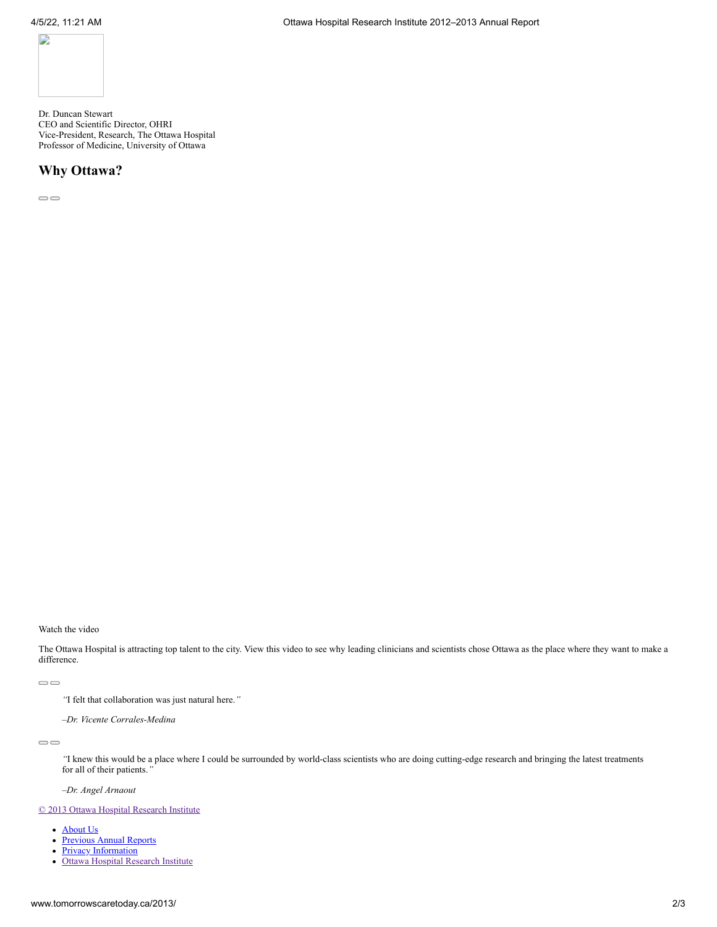

Dr. Duncan Stewart CEO and Scientific Director, OHRI Vice-President, Research, The Ottawa Hospital Professor of Medicine, University of Ottawa

### **Why Ottawa?**

 $\qquad \qquad \Box$ 

Watch the video

The Ottawa Hospital is attracting top talent to the city. View this video to see why leading clinicians and scientists chose Ottawa as the place where they want to make a difference.

 $\qquad \qquad \Box$ 

*"*I felt that collaboration was just natural here.*"*

*–Dr. Vicente Corrales-Medina*

 $\qquad \qquad \Box$ 

*"*I knew this would be a place where I could be surrounded by world-class scientists who are doing cutting-edge research and bringing the latest treatments for all of their patients.*"*

*–Dr. Angel Arnaout*

#### [© 2013 Ottawa Hospital Research Institute](http://www.tomorrowscaretoday.ca/2013/)

- [About Us](http://www.tomorrowscaretoday.ca/2013/about-us/)
- [Previous Annual Reports](http://www.tomorrowscaretoday.ca/2013/previous-reports/)
- [Privacy Information](http://www.tomorrowscaretoday.ca/2013/privacy/)
- [Ottawa Hospital Research Institute](http://www.ohri.ca/)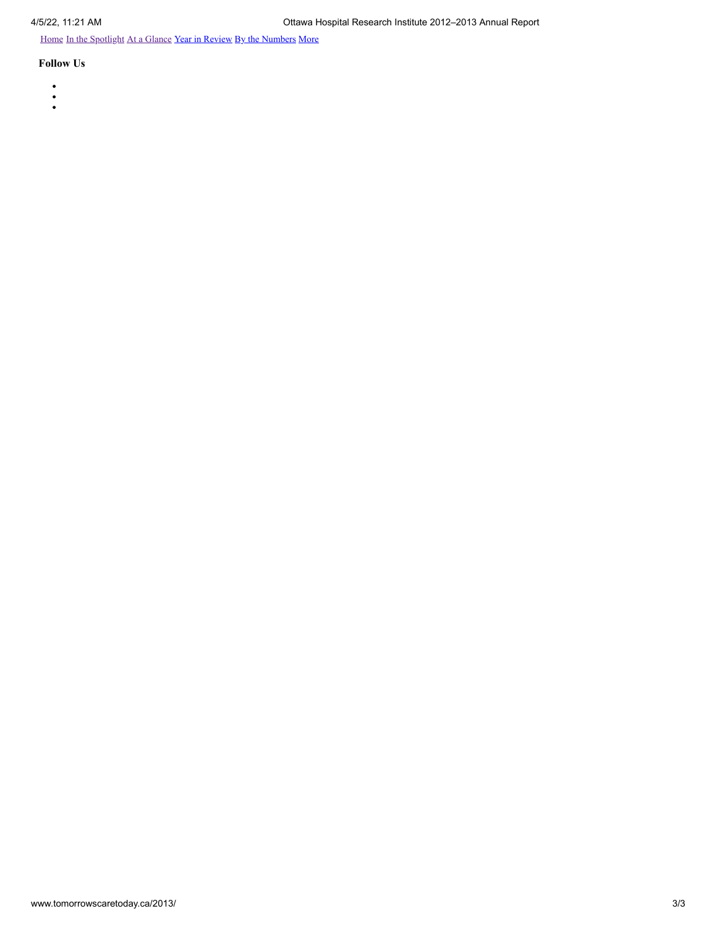[Home](http://www.tomorrowscaretoday.ca/2013/) [In the Spotlight](http://www.tomorrowscaretoday.ca/2013/spotlight/) [At a Glance](http://www.tomorrowscaretoday.ca/2013/at-a-glance/) [Year in Review](http://www.tomorrowscaretoday.ca/2013/year-in-review/) [By the Numbers](http://www.tomorrowscaretoday.ca/2013/by-the-numbers/) More

- 
- $\ddot{\cdot}$
-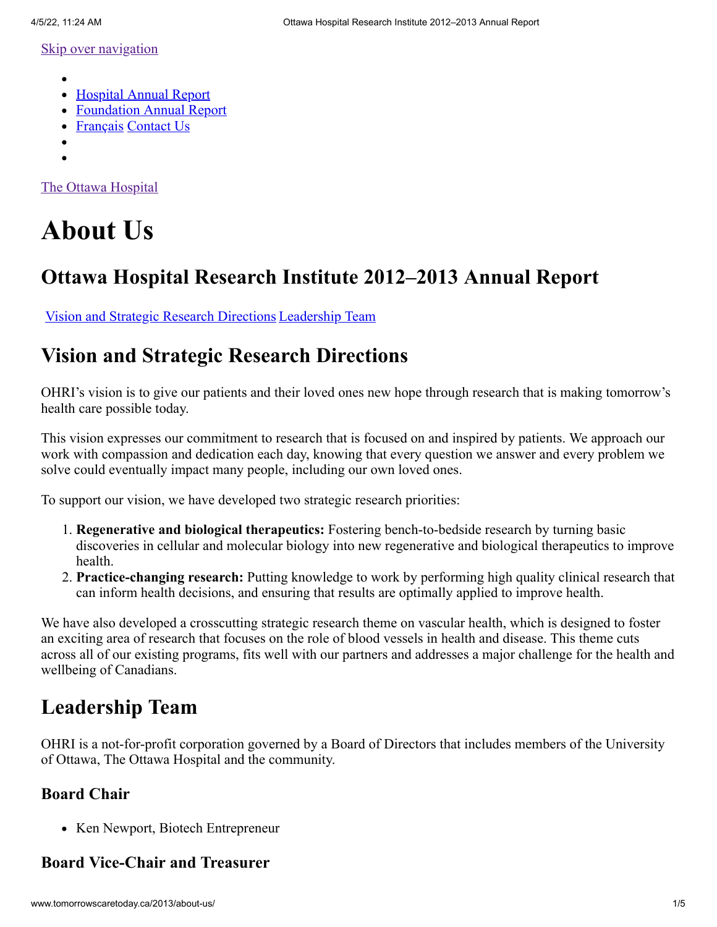- <span id="page-3-0"></span>
- [Hospital Annual Report](http://www.worldclasscare.ca/2013/about-us/)
- [Foundation Annual Report](http://ohfoundation.ca/sites/default/files/annual_report_12-13-e.pdf)
- [Français](http://www.soinsdedemain.ca/2013/about-us/) [Contact Us](http://www.tomorrowscaretoday.ca/2013/contact-us/)
- 
- 

[The Ottawa Hospital](http://www.tomorrowscaretoday.ca/2013/)

# **About Us**

# **Ottawa Hospital Research Institute 2012–2013 Annual Report**

[Vision and Strategic Research Directions](http://www.tomorrowscaretoday.ca/2013/about-us/#vision-and-strategic-research-directions) [Leadership Team](http://www.tomorrowscaretoday.ca/2013/about-us/#leadership-team)

# **Vision and Strategic Research Directions**

OHRI's vision is to give our patients and their loved ones new hope through research that is making tomorrow's health care possible today.

This vision expresses our commitment to research that is focused on and inspired by patients. We approach our work with compassion and dedication each day, knowing that every question we answer and every problem we solve could eventually impact many people, including our own loved ones.

To support our vision, we have developed two strategic research priorities:

- 1. **Regenerative and biological therapeutics:** Fostering bench-to-bedside research by turning basic discoveries in cellular and molecular biology into new regenerative and biological therapeutics to improve health.
- 2. **Practice-changing research:** Putting knowledge to work by performing high quality clinical research that can inform health decisions, and ensuring that results are optimally applied to improve health.

We have also developed a crosscutting strategic research theme on vascular health, which is designed to foster an exciting area of research that focuses on the role of blood vessels in health and disease. This theme cuts across all of our existing programs, fits well with our partners and addresses a major challenge for the health and wellbeing of Canadians.

# **Leadership Team**

OHRI is a not-for-profit corporation governed by a Board of Directors that includes members of the University of Ottawa, The Ottawa Hospital and the community.

# **Board Chair**

• Ken Newport, Biotech Entrepreneur

# **Board Vice-Chair and Treasurer**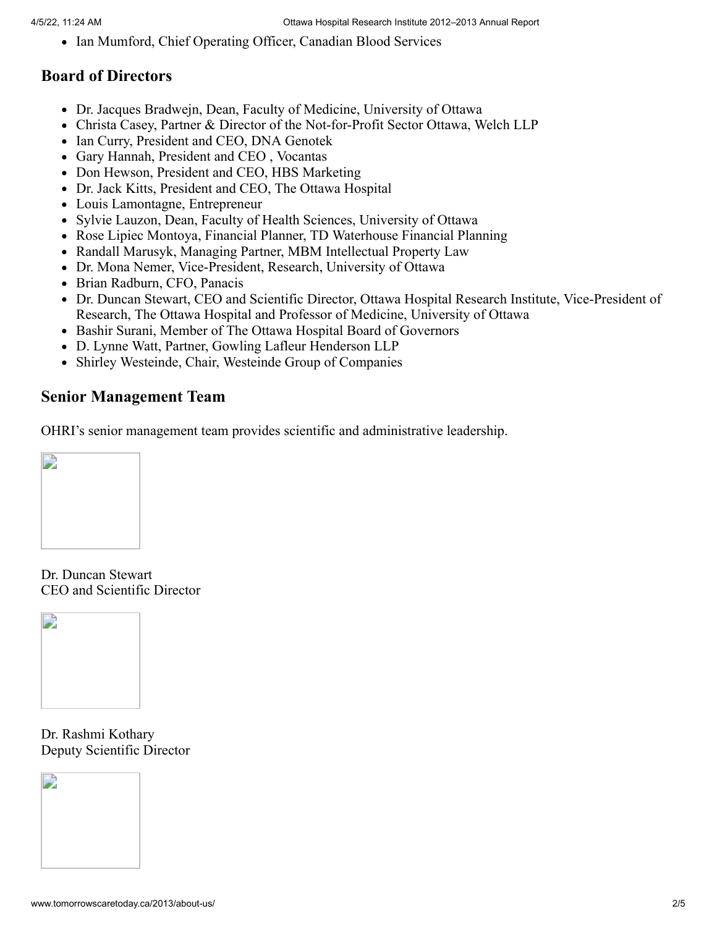• Ian Mumford, Chief Operating Officer, Canadian Blood Services

# **Board of Directors**

- Dr. Jacques Bradwejn, Dean, Faculty of Medicine, University of Ottawa
- Christa Casey, Partner & Director of the Not-for-Profit Sector Ottawa, Welch LLP
- Ian Curry, President and CEO, DNA Genotek
- Gary Hannah, President and CEO , Vocantas
- Don Hewson, President and CEO, HBS Marketing
- Dr. Jack Kitts, President and CEO, The Ottawa Hospital
- Louis Lamontagne, Entrepreneur
- Sylvie Lauzon, Dean, Faculty of Health Sciences, University of Ottawa
- Rose Lipiec Montoya, Financial Planner, TD Waterhouse Financial Planning
- Randall Marusyk, Managing Partner, MBM Intellectual Property Law
- Dr. Mona Nemer, Vice-President, Research, University of Ottawa
- Brian Radburn, CFO, Panacis
- Dr. Duncan Stewart, CEO and Scientific Director, Ottawa Hospital Research Institute, Vice-President of Research, The Ottawa Hospital and Professor of Medicine, University of Ottawa
- Bashir Surani, Member of The Ottawa Hospital Board of Governors
- D. Lynne Watt, Partner, Gowling Lafleur Henderson LLP
- Shirley Westeinde, Chair, Westeinde Group of Companies

# **Senior Management Team**

OHRI's senior management team provides scientific and administrative leadership.



Dr. Duncan Stewart CEO and Scientific Director



Dr. Rashmi Kothary Deputy Scientific Director

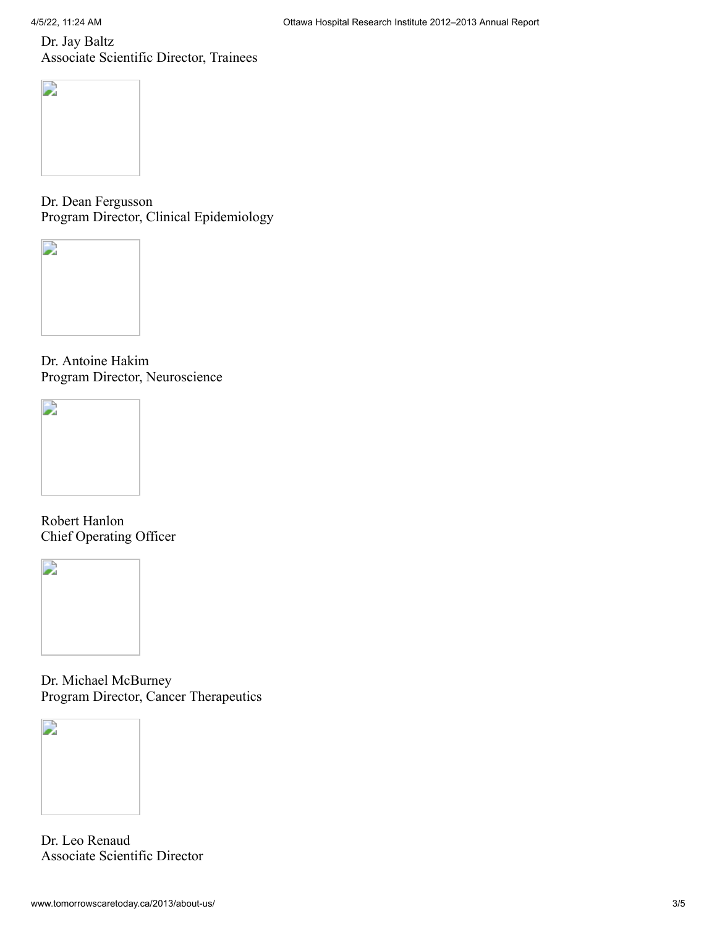Dr. Jay Baltz Associate Scientific Director, Trainees



Dr. Dean Fergusson Program Director, Clinical Epidemiology



Dr. Antoine Hakim Program Director, Neuroscience



Robert Hanlon Chief Operating Officer



Dr. Michael McBurney Program Director, Cancer Therapeutics



Dr. Leo Renaud Associate Scientific Director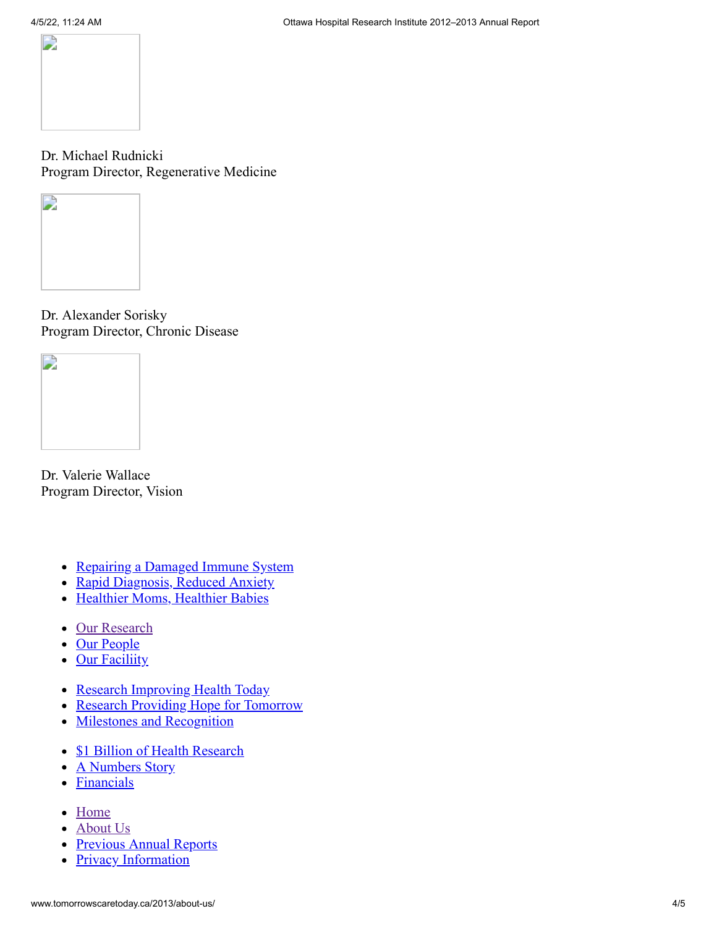

Dr. Michael Rudnicki Program Director, Regenerative Medicine



Dr. Alexander Sorisky Program Director, Chronic Disease



Dr. Valerie Wallace Program Director, Vision

- [Repairing a Damaged Immune System](http://www.tomorrowscaretoday.ca/2013/spotlight/#repairing-a-damaged-immune-system)
- [Rapid Diagnosis, Reduced Anxiety](http://www.tomorrowscaretoday.ca/2013/spotlight/#rapid-diagnosis-reduced-anxiety)
- [Healthier Moms, Healthier Babies](http://www.tomorrowscaretoday.ca/2013/spotlight/#healthier-moms-healthier-babies)
- [Our Research](http://www.tomorrowscaretoday.ca/2013/at-a-glance/#our-research)
- [Our People](http://www.tomorrowscaretoday.ca/2013/at-a-glance/#our-people)
- [Our Faciliity](http://www.tomorrowscaretoday.ca/2013/at-a-glance/#our-facility)
- [Research Improving Health Today](http://www.tomorrowscaretoday.ca/2013/year-in-review/#research-improving-health-today)
- [Research Providing Hope for Tomorrow](http://www.tomorrowscaretoday.ca/2013/year-in-review/#research-providing-hope-for-tomorrow)
- [Milestones and Recognition](http://www.tomorrowscaretoday.ca/2013/year-in-review/#milestones-and-recognition)
- [\\$1 Billion of Health Research](http://www.tomorrowscaretoday.ca/2013/by-the-numbers/#billion-dollar-story)
- [A Numbers Story](http://www.tomorrowscaretoday.ca/2013/by-the-numbers/#a-numbers-story)
- [Financials](http://www.tomorrowscaretoday.ca/2013/by-the-numbers/#financials)
- [Home](http://www.tomorrowscaretoday.ca/2013/)
- [About Us](http://www.tomorrowscaretoday.ca/2013/about-us/)
- [Previous Annual Reports](http://www.tomorrowscaretoday.ca/2013/previous-reports/)
- <span id="page-6-0"></span>• [Privacy Information](http://www.tomorrowscaretoday.ca/2013/privacy/)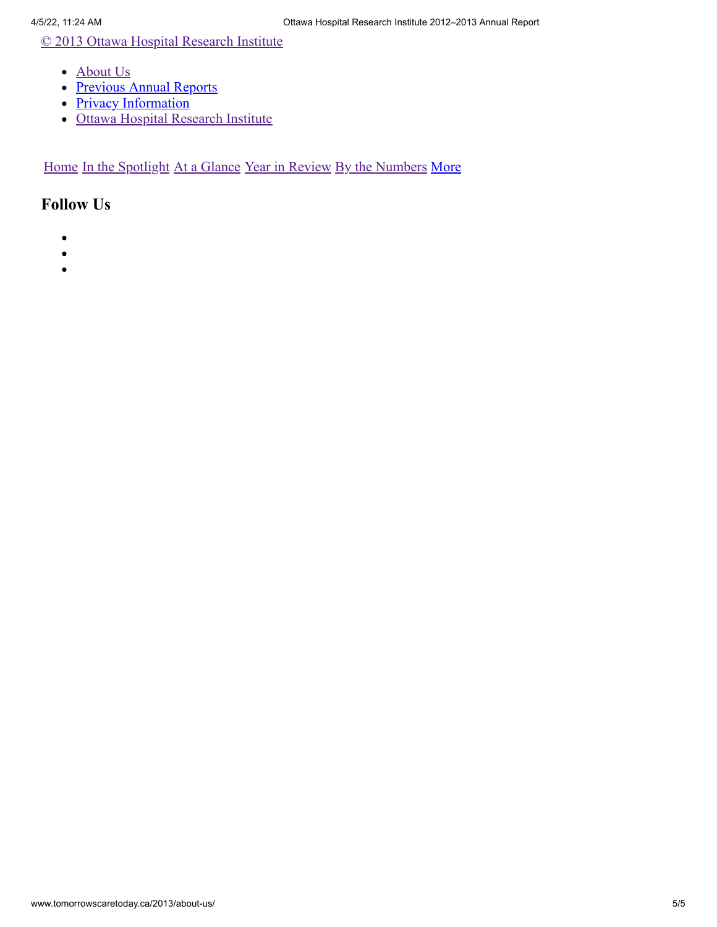[© 2013 Ottawa Hospital Research Institute](http://www.tomorrowscaretoday.ca/2013/)

- [About Us](http://www.tomorrowscaretoday.ca/2013/about-us/)
- [Previous Annual Reports](http://www.tomorrowscaretoday.ca/2013/previous-reports/)
- [Privacy Information](http://www.tomorrowscaretoday.ca/2013/privacy/)
- [Ottawa Hospital Research Institute](http://www.ohri.ca/)

[Home](http://www.tomorrowscaretoday.ca/2013/) [In the Spotlight](http://www.tomorrowscaretoday.ca/2013/spotlight/) [At a Glance](http://www.tomorrowscaretoday.ca/2013/at-a-glance/) [Year in Review](http://www.tomorrowscaretoday.ca/2013/year-in-review/) [By the Numbers](http://www.tomorrowscaretoday.ca/2013/by-the-numbers/) [More](#page-3-0)

- $\bullet$
- $\bullet$
- $\bullet$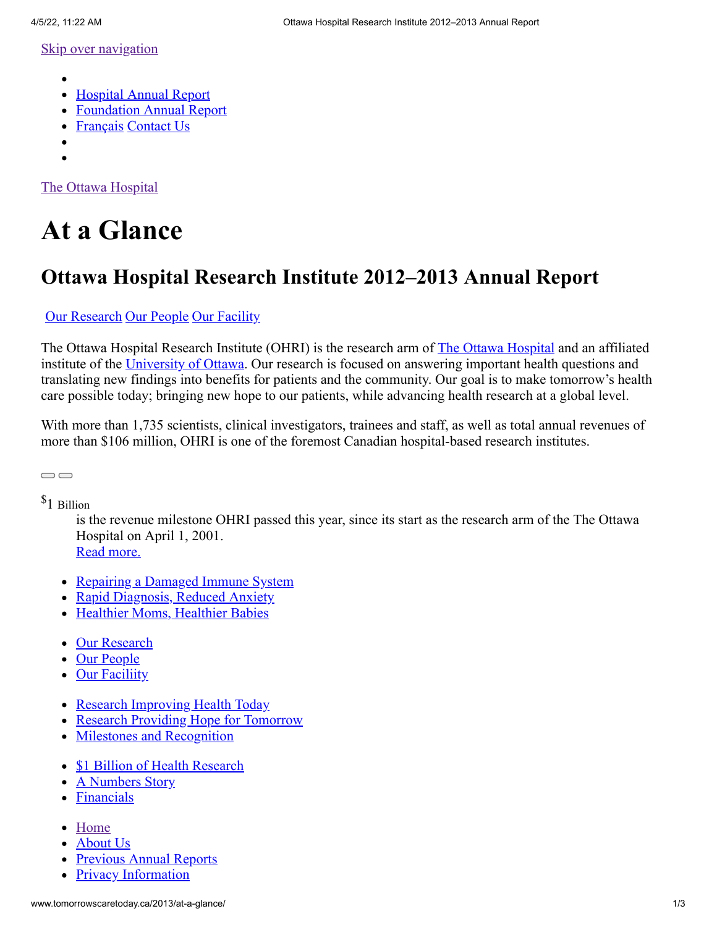- <span id="page-8-0"></span>
- [Hospital Annual Report](http://www.worldclasscare.ca/2013/at-a-glance/)  $\bullet$
- [Foundation Annual Report](http://ohfoundation.ca/sites/default/files/annual_report_12-13-e.pdf)
- [Français](http://www.soinsdedemain.ca/2013/at-a-glance/) [Contact Us](http://www.tomorrowscaretoday.ca/2013/contact-us/)
- 
- $\bullet$

[The Ottawa Hospital](http://www.tomorrowscaretoday.ca/2013/)

# **At a Glance**

# **Ottawa Hospital Research Institute 2012–2013 Annual Report**

# [Our Research](http://www.tomorrowscaretoday.ca/2013/at-a-glance/#our-research) [Our People](http://www.tomorrowscaretoday.ca/2013/at-a-glance/#our-people) [Our Facility](http://www.tomorrowscaretoday.ca/2013/at-a-glance/#our-facility)

[The Ottawa Hospital](http://www.ottawahospital.on.ca/) Research Institute (OHRI) is the research arm of The Ottawa Hospital and an affiliated institute of the [University of Ottawa.](http://www.uottawa.ca/) Our research is focused on answering important health questions and translating new findings into benefits for patients and the community. Our goal is to make tomorrow's health care possible today; bringing new hope to our patients, while advancing health research at a global level.

With more than 1,735 scientists, clinical investigators, trainees and staff, as well as total annual revenues of more than \$106 million, OHRI is one of the foremost Canadian hospital-based research institutes.

\$1 Billion

 $\bigcirc$ 

is the revenue milestone OHRI passed this year, since its start as the research arm of the The Ottawa Hospital on April 1, 2001.

[Read more.](http://www.tomorrowscaretoday.ca/2013/by-the-numbers/#billion-dollar-story)

- [Repairing a Damaged Immune System](http://www.tomorrowscaretoday.ca/2013/spotlight/#repairing-a-damaged-immune-system)
- [Rapid Diagnosis, Reduced Anxiety](http://www.tomorrowscaretoday.ca/2013/spotlight/#rapid-diagnosis-reduced-anxiety)
- [Healthier Moms, Healthier Babies](http://www.tomorrowscaretoday.ca/2013/spotlight/#healthier-moms-healthier-babies)
- [Our Research](http://www.tomorrowscaretoday.ca/2013/at-a-glance/#our-research)
- [Our People](http://www.tomorrowscaretoday.ca/2013/at-a-glance/#our-people)
- [Our Faciliity](http://www.tomorrowscaretoday.ca/2013/at-a-glance/#our-facility)
- [Research Improving Health Today](http://www.tomorrowscaretoday.ca/2013/year-in-review/#research-improving-health-today)
- [Research Providing Hope for Tomorrow](http://www.tomorrowscaretoday.ca/2013/year-in-review/#research-providing-hope-for-tomorrow)
- [Milestones and Recognition](http://www.tomorrowscaretoday.ca/2013/year-in-review/#milestones-and-recognition)
- [\\$1 Billion of Health Research](http://www.tomorrowscaretoday.ca/2013/by-the-numbers/#billion-dollar-story)
- [A Numbers Story](http://www.tomorrowscaretoday.ca/2013/by-the-numbers/#a-numbers-story)
- [Financials](http://www.tomorrowscaretoday.ca/2013/by-the-numbers/#financials)
- [Home](http://www.tomorrowscaretoday.ca/2013/)
- [About Us](http://www.tomorrowscaretoday.ca/2013/about-us/)
- [Previous Annual Reports](http://www.tomorrowscaretoday.ca/2013/previous-reports/)
- [Privacy Information](http://www.tomorrowscaretoday.ca/2013/privacy/)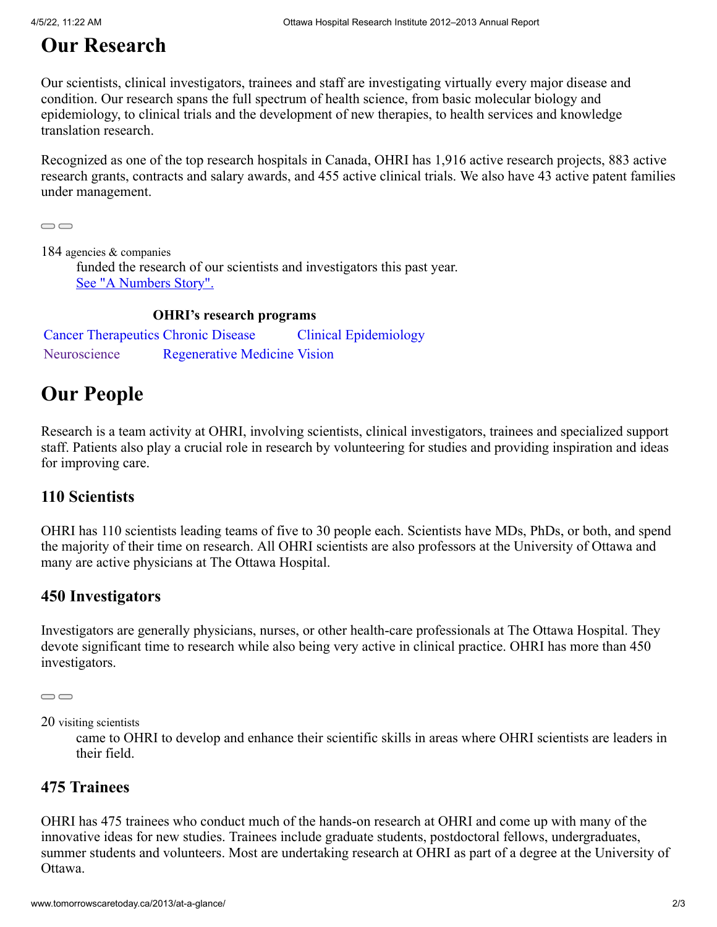# <span id="page-9-0"></span>**Our Research**

Our scientists, clinical investigators, trainees and staff are investigating virtually every major disease and condition. Our research spans the full spectrum of health science, from basic molecular biology and epidemiology, to clinical trials and the development of new therapies, to health services and knowledge translation research.

Recognized as one of the top research hospitals in Canada, OHRI has 1,916 active research projects, 883 active research grants, contracts and salary awards, and 455 active clinical trials. We also have 43 active patent families under management.

 $\bigcirc$ 

184 agencies & companies

funded the research of our scientists and investigators this past year. [See "A Numbers Story".](http://www.tomorrowscaretoday.ca/2013/by-the-numbers/#a-numbers-story)

# **OHRI's research programs**

[Cancer Therapeutics](http://www.ohri.ca/Programs/cancer_therapeutics/default.asp) [Chronic Disease](http://www.ohri.ca/Programs/ChronicDisease/default.asp) [Clinical Epidemiology](http://www.ohri.ca/programs/clinical_epidemiology/default.asp) [Neuroscience](http://www.ohri.ca/Programs/neuroscience/default.asp) [Regenerative Medicine](http://www.ohri.ca/programs/Regenerative_Medicine/default.asp) [Vision](http://www.ohri.ca/programs/vision/default.asp)

# **Our People**

Research is a team activity at OHRI, involving scientists, clinical investigators, trainees and specialized support staff. Patients also play a crucial role in research by volunteering for studies and providing inspiration and ideas for improving care.

# **110 Scientists**

OHRI has 110 scientists leading teams of five to 30 people each. Scientists have MDs, PhDs, or both, and spend the majority of their time on research. All OHRI scientists are also professors at the University of Ottawa and many are active physicians at The Ottawa Hospital.

# **450 Investigators**

Investigators are generally physicians, nurses, or other health-care professionals at The Ottawa Hospital. They devote significant time to research while also being very active in clinical practice. OHRI has more than 450 investigators.

```
\bigcirc
```
20 visiting scientists

came to OHRI to develop and enhance their scientific skills in areas where OHRI scientists are leaders in their field.

# **475 Trainees**

OHRI has 475 trainees who conduct much of the hands-on research at OHRI and come up with many of the innovative ideas for new studies. Trainees include graduate students, postdoctoral fellows, undergraduates, summer students and volunteers. Most are undertaking research at OHRI as part of a degree at the University of Ottawa.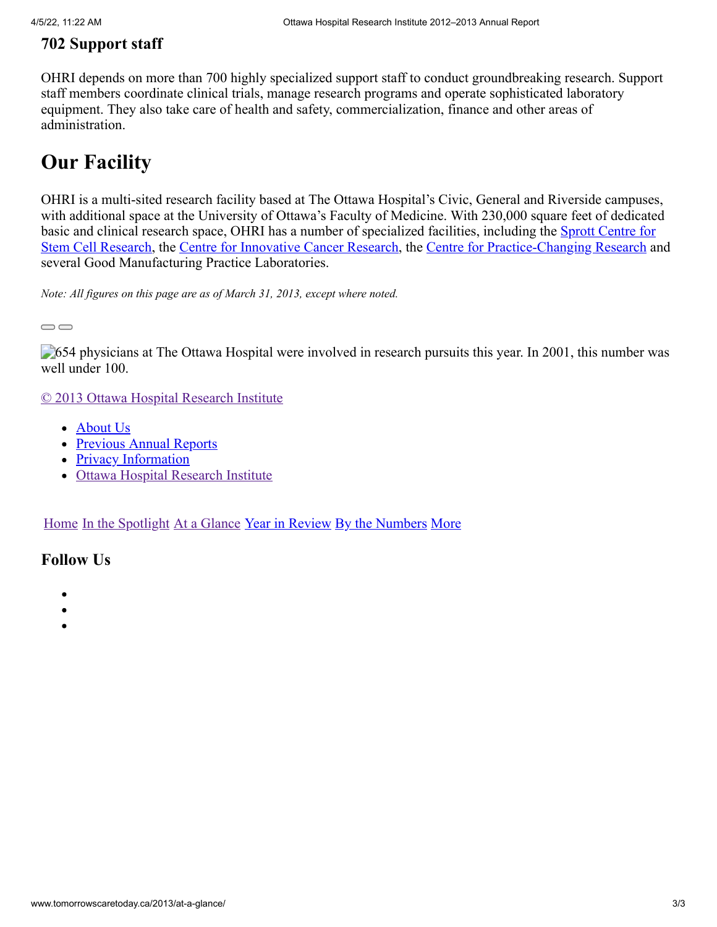# **702 Support staff**

OHRI depends on more than 700 highly specialized support staff to conduct groundbreaking research. Support staff members coordinate clinical trials, manage research programs and operate sophisticated laboratory equipment. They also take care of health and safety, commercialization, finance and other areas of administration.

# **Our Facility**

OHRI is a multi-sited research facility based at The Ottawa Hospital's Civic, General and Riverside campuses, with additional space at the University of Ottawa's Faculty of Medicine. With 230,000 square feet of dedicated basic and clinical research space, OHRI has a number of specialized facilities, including the **Sprott Centre for** Stem Cell Research, the [Centre for Innovative Cancer Research](http://www.ohri.ca/newsroom/newsstory.asp?ID=258), the [Centre for Practice-Changing Research](http://www.ohri.ca/newsroom/newsstory.asp?ID=286) and several Good Manufacturing Practice Laboratories.

*Note: All figures on this page are as of March 31, 2013, except where noted.*

 $\qquad \qquad \qquad \qquad \Box$ 

**654** physicians at The Ottawa Hospital were involved in research pursuits this year. In 2001, this number was well under 100.

[© 2013 Ottawa Hospital Research Institute](http://www.tomorrowscaretoday.ca/2013/)

- [About Us](http://www.tomorrowscaretoday.ca/2013/about-us/)
- [Previous Annual Reports](http://www.tomorrowscaretoday.ca/2013/previous-reports/)
- [Privacy Information](http://www.tomorrowscaretoday.ca/2013/privacy/)
- [Ottawa Hospital Research Institute](http://www.ohri.ca/)

[Home](http://www.tomorrowscaretoday.ca/2013/) [In the Spotlight](http://www.tomorrowscaretoday.ca/2013/spotlight/) [At a Glance](http://www.tomorrowscaretoday.ca/2013/at-a-glance/) [Year in Review](http://www.tomorrowscaretoday.ca/2013/year-in-review/) [By the Numbers](http://www.tomorrowscaretoday.ca/2013/by-the-numbers/) [More](#page-8-0)

- 
- 
-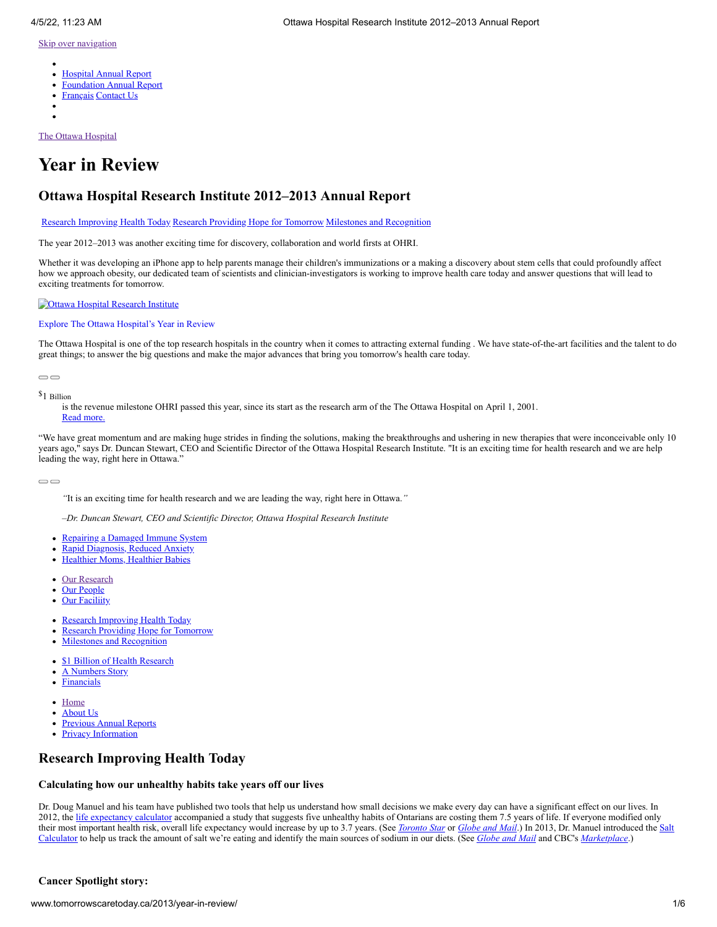- $\bullet$ [Hospital Annual Report](http://www.worldclasscare.ca/2013/year-in-review/)
- [Foundation Annual Report](http://ohfoundation.ca/sites/default/files/annual_report_12-13-e.pdf)
- [Français](http://www.soinsdedemain.ca/2013/year-in-review/) [Contact Us](http://www.tomorrowscaretoday.ca/2013/contact-us/)
- 
- 

[The Ottawa Hospital](http://www.tomorrowscaretoday.ca/2013/)

# **Year in Review**

# **Ottawa Hospital Research Institute 2012–2013 Annual Report**

[Research Improving Health Today](http://www.tomorrowscaretoday.ca/2013/year-in-review/#research-improving-health-today) [Research Providing Hope for Tomorrow](http://www.tomorrowscaretoday.ca/2013/year-in-review/#research-providing-hope-for-tomorrow) [Milestones and Recognition](http://www.tomorrowscaretoday.ca/2013/year-in-review/#milestones-and-recognition)

The year 2012–2013 was another exciting time for discovery, collaboration and world firsts at OHRI.

Whether it was developing an iPhone app to help parents manage their children's immunizations or a making a discovery about stem cells that could profoundly affect how we approach obesity, our dedicated team of scientists and clinician-investigators is working to improve health care today and answer questions that will lead to exciting treatments for tomorrow.

#### **Cottawa Hospital Research Institute**

#### [Explore The Ottawa Hospital's Year in Review](http://www.worldclasscare.ca/2013/year-in-review/)

The Ottawa Hospital is one of the top research hospitals in the country when it comes to attracting external funding . We have state-of-the-art facilities and the talent to do great things; to answer the big questions and make the major advances that bring you tomorrow's health care today.

 $\bigcirc$ 

#### \$1 Billion

is the revenue milestone OHRI passed this year, since its start as the research arm of the The Ottawa Hospital on April 1, 2001. [Read more.](http://www.tomorrowscaretoday.ca/2013/by-the-numbers/#billion-dollar-story)

"We have great momentum and are making huge strides in finding the solutions, making the breakthroughs and ushering in new therapies that were inconceivable only 10 years ago," says Dr. Duncan Stewart, CEO and Scientific Director of the Ottawa Hospital Research Institute. "It is an exciting time for health research and we are help leading the way, right here in Ottawa."

 $\bigcirc$ 

*"*It is an exciting time for health research and we are leading the way, right here in Ottawa.*"*

*–Dr. Duncan Stewart, CEO and Scientific Director, Ottawa Hospital Research Institute*

- [Repairing a Damaged Immune System](http://www.tomorrowscaretoday.ca/2013/spotlight/#repairing-a-damaged-immune-system)
- [Rapid Diagnosis, Reduced Anxiety](http://www.tomorrowscaretoday.ca/2013/spotlight/#rapid-diagnosis-reduced-anxiety)
- [Healthier Moms, Healthier Babies](http://www.tomorrowscaretoday.ca/2013/spotlight/#healthier-moms-healthier-babies)
- [Our Research](http://www.tomorrowscaretoday.ca/2013/at-a-glance/#our-research)
- [Our People](http://www.tomorrowscaretoday.ca/2013/at-a-glance/#our-people)
- **[Our Faciliity](http://www.tomorrowscaretoday.ca/2013/at-a-glance/#our-facility)**
- [Research Improving Health Today](http://www.tomorrowscaretoday.ca/2013/year-in-review/#research-improving-health-today)
- [Research Providing Hope for Tomorrow](http://www.tomorrowscaretoday.ca/2013/year-in-review/#research-providing-hope-for-tomorrow)  $\bullet$
- [Milestones and Recognition](http://www.tomorrowscaretoday.ca/2013/year-in-review/#milestones-and-recognition)
- **[\\$1 Billion of Health Research](http://www.tomorrowscaretoday.ca/2013/by-the-numbers/#billion-dollar-story)**
- [A Numbers Story](http://www.tomorrowscaretoday.ca/2013/by-the-numbers/#a-numbers-story)
- $\bullet$ **[Financials](http://www.tomorrowscaretoday.ca/2013/by-the-numbers/#financials)**
- [Home](http://www.tomorrowscaretoday.ca/2013/)
- [About Us](http://www.tomorrowscaretoday.ca/2013/about-us/)
- [Previous Annual Reports](http://www.tomorrowscaretoday.ca/2013/previous-reports/)
- [Privacy Information](http://www.tomorrowscaretoday.ca/2013/privacy/)

## <span id="page-11-0"></span>**Research Improving Health Today**

### **Calculating how our unhealthy habits take years off our lives**

Dr. Doug Manuel and his team have published two tools that help us understand how small decisions we make every day can have a significant effect on our lives. In 2012, the [life expectancy calculator](http://www.ohri.ca/newsroom/newsstory.asp?ID=308) accompanied a study that suggests five unhealthy habits of Ontarians are costing them 7.5 years of life. If everyone modified only their most important health risk, overall life expectancy would increase by up to 3.7 years. (See *[Toronto Star](http://www.thestar.com/living/health/article/1154349--ontarians-cutting-their-lifespan-by-7-5-years)* or *[Globe and Mail](http://www.theglobeandmail.com/life/health/new-health/andre-picard/five-unhealthy-habits-sending-us-to-an-early-grave/article2388798/?utm_medium=Feeds%3A%20RSS%2FAtom&utm_source=Life&utm_content=2388798)*.) In 2013, Dr. Manuel introduced the Salt [Calculator to help us track the amount of salt we're eating and identify the main sources of sodium in our diets. \(See](http://www.projectbiglife.ca/) *[Globe and Mail](http://www.theglobeandmail.com/life/health-and-fitness/health-navigator/new-online-salt-calculator-aims-to-lower-canadians-sodium-intake/article9477552/?cmpid=rss1)* and CBC's *[Marketplace](http://www.cbc.ca/news/health/story/2013/03/07/marketplace-sodium.html)*.)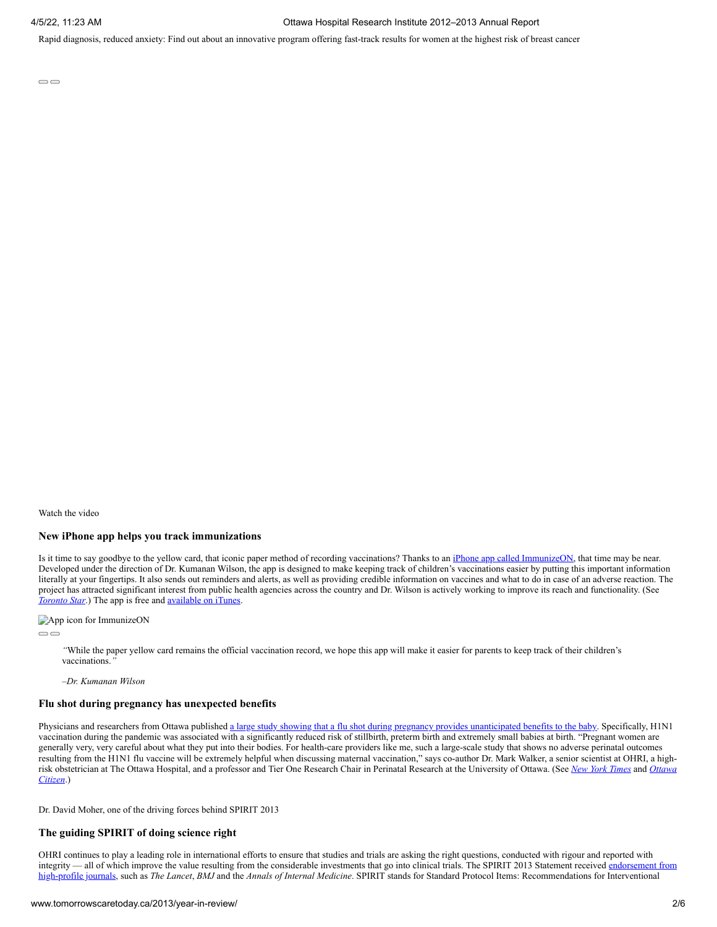Rapid diagnosis, reduced anxiety: Find out about an innovative program offering fast-track results for women at the highest risk of breast cancer

 $\bigcirc$ 

Watch the video

#### **New iPhone app helps you track immunizations**

Is it time to say goodbye to the yellow card, that iconic paper method of recording vaccinations? Thanks to an [iPhone app called ImmunizeON,](http://www.ohri.ca/newsroom/newsstory.asp?ID=327) that time may be near. Developed under the direction of Dr. Kumanan Wilson, the app is designed to make keeping track of children's vaccinations easier by putting this important information literally at your fingertips. It also sends out reminders and alerts, as well as providing credible information on vaccines and what to do in case of an adverse reaction. The project has attracted significant interest from public health agencies across the country and Dr. Wilson is actively working to improve its reach and functionality. (See *[Toronto Star](http://www.thestar.com/living/article/1294096--immunization-records-at-parents-fingertips-with-new-app)*.) The app is free and <u>available on iTunes</u>.

App icon for ImmunizeON

 $\qquad \qquad \qquad \qquad \Box$ 

*"*While the paper yellow card remains the official vaccination record, we hope this app will make it easier for parents to keep track of their children's vaccinations.*"*

*–Dr. Kumanan Wilson*

#### **Flu shot during pregnancy has unexpected benefits**

Physicians and researchers from Ottawa published [a large study showing that a flu shot during pregnancy provides unanticipated benefits to the baby.](http://www.ohri.ca/newsroom/newsstory.asp?ID=316) Specifically, H1N1 vaccination during the pandemic was associated with a significantly reduced risk of stillbirth, preterm birth and extremely small babies at birth. "Pregnant women are generally very, very careful about what they put into their bodies. For health-care providers like me, such a large-scale study that shows no adverse perinatal outcomes resulting from the H1N1 flu vaccine will be extremely helpful when discussing maternal vaccination," says co-author Dr. Mark Walker, a senior scientist at OHRI, a high[risk obstetrician at The Ottawa Hospital, and a professor and Tier One Research Chair in Perinatal Research at the University of Ottawa. \(See](http://www.ottawacitizen.com/technology/shot+moms+risk+stillbirths+premature+births+study/6661231/story.html) *[New York Times](http://well.blogs.nytimes.com/2012/05/21/shot-protects-against-more-than-the-flu-for-pregnant-women/)* and *Ottawa Citizen*.)

Dr. David Moher, one of the driving forces behind SPIRIT 2013

#### **The guiding SPIRIT of doing science right**

OHRI continues to play a leading role in international efforts to ensure that studies and trials are asking the right questions, conducted with rigour and reported with [integrity — all of which improve the value resulting from the considerable investments that go into clinical trials. The SPIRIT 2013 Statement received endorsement from](http://www.spirit-statement.org/about-spirit/spirit-endorsement/) high-profile journals, such as *The Lancet*, *BMJ* and the *Annals of Internal Medicine*. SPIRIT stands for Standard Protocol Items: Recommendations for Interventional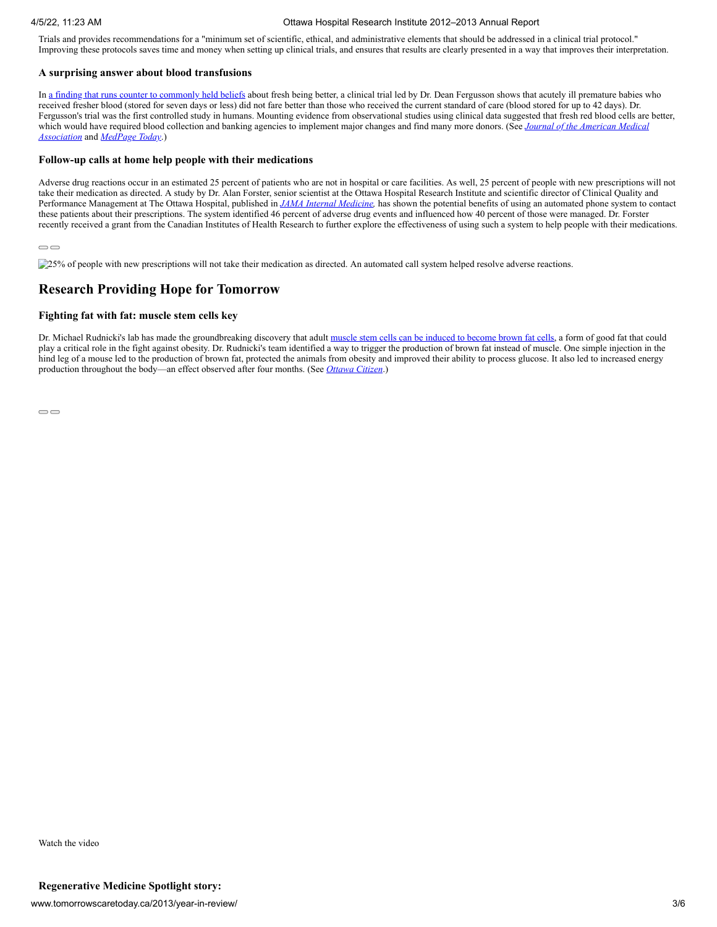Trials and provides recommendations for a "minimum set of scientific, ethical, and administrative elements that should be addressed in a clinical trial protocol." Improving these protocols saves time and money when setting up clinical trials, and ensures that results are clearly presented in a way that improves their interpretation.

#### **A surprising answer about blood transfusions**

In [a finding that runs counter to commonly held beliefs](http://www.ohri.ca/newsroom/newsstory.asp?ID=320) about fresh being better, a clinical trial led by Dr. Dean Fergusson shows that acutely ill premature babies who received fresher blood (stored for seven days or less) did not fare better than those who received the current standard of care (blood stored for up to 42 days). Dr. Fergusson's trial was the first controlled study in humans. Mounting evidence from observational studies using clinical data suggested that fresh red blood cells are better, [which would have required blood collection and banking agencies to implement major changes and find many more donors. \(See](http://jama.jamanetwork.com/article.aspx?articleid=1377715) *Journal of the American Medical Association* and *[MedPage Today](http://www.medpagetoday.com/Pediatrics/GeneralPediatrics/35195)*.)

#### **Follow-up calls at home help people with their medications**

Adverse drug reactions occur in an estimated 25 percent of patients who are not in hospital or care facilities. As well, 25 percent of people with new prescriptions will not take their medication as directed. A study by Dr. Alan Forster, senior scientist at the Ottawa Hospital Research Institute and scientific director of Clinical Quality and Performance Management at The Ottawa Hospital, published in *[JAMA Internal Medicine,](http://archinte.jamanetwork.com/article.aspx?articleid=1568517)* has shown the potential benefits of using an automated phone system to contact these patients about their prescriptions. The system identified 46 percent of adverse drug events and influenced how 40 percent of those were managed. Dr. Forster recently received a grant from the Canadian Institutes of Health Research to further explore the effectiveness of using such a system to help people with their medications.

#### $\bigcirc$

25% of people with new prescriptions will not take their medication as directed. An automated call system helped resolve adverse reactions.

## **Research Providing Hope for Tomorrow**

#### **Fighting fat with fat: muscle stem cells key**

Dr. Michael Rudnicki's lab has made the groundbreaking discovery that adult [muscle stem cells can be induced to become brown fat cells](http://www.ohri.ca/newsroom/newsstory.asp?ID=331), a form of good fat that could play a critical role in the fight against obesity. Dr. Rudnicki's team identified a way to trigger the production of brown fat instead of muscle. One simple injection in the hind leg of a mouse led to the production of brown fat, protected the animals from obesity and improved their ability to process glucose. It also led to increased energy production throughout the body—an effect observed after four months. (See *[Ottawa Citizen](http://www.ottawacitizen.com/health/Battling+with+Ottawa+scientists+turn+muscle+cells+into/7920957/story.html)*.)

 $\qquad \qquad \qquad \qquad \Box$ 

<span id="page-13-0"></span>Watch the video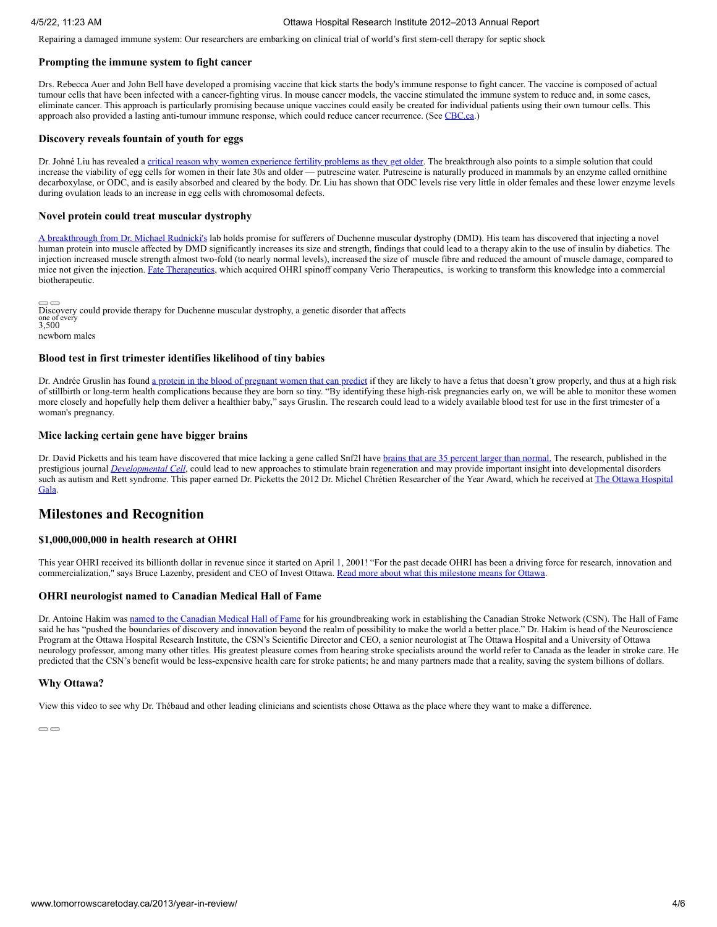Repairing a damaged immune system: Our researchers are embarking on clinical trial of world's first stem-cell therapy for septic shock

#### **Prompting the immune system to fight cancer**

Drs. Rebecca Auer and John Bell have developed a promising vaccine that kick starts the body's immune response to fight cancer. The vaccine is composed of actual tumour cells that have been infected with a cancer-fighting virus. In mouse cancer models, the vaccine stimulated the immune system to reduce and, in some cases, eliminate cancer. This approach is particularly promising because unique vaccines could easily be created for individual patients using their own tumour cells. This approach also provided a lasting anti-tumour immune response, which could reduce cancer recurrence. (See [CBC.ca](http://www.cbc.ca/news/canada/ottawa/story/2012/07/21/ottawa-cancer-vaccine-research-promising.html).)

#### **Discovery reveals fountain of youth for eggs**

Dr. Johné Liu has revealed a [critical reason why women experience fertility problems as they get older.](http://www.ohri.ca/newsroom/newsstory.asp?ID=326) The breakthrough also points to a simple solution that could increase the viability of egg cells for women in their late 30s and older — putrescine water. Putrescine is naturally produced in mammals by an enzyme called ornithine decarboxylase, or ODC, and is easily absorbed and cleared by the body. Dr. Liu has shown that ODC levels rise very little in older females and these lower enzyme levels during ovulation leads to an increase in egg cells with chromosomal defects.

#### **Novel protein could treat muscular dystrophy**

[A breakthrough from Dr. Michael Rudnicki's](http://www.ohri.ca/newsroom/newsstory.asp?ID=329) lab holds promise for sufferers of Duchenne muscular dystrophy (DMD). His team has discovered that injecting a novel human protein into muscle affected by DMD significantly increases its size and strength, findings that could lead to a therapy akin to the use of insulin by diabetics. The injection increased muscle strength almost two-fold (to nearly normal levels), increased the size of muscle fibre and reduced the amount of muscle damage, compared to mice not given the injection. [Fate Therapeutics](http://www.fatetherapeutics.com/therapeutic-programs/muscle-regeneration/), which acquired OHRI spinoff company Verio Therapeutics, is working to transform this knowledge into a commercial biotherapeutic.

Discovery could provide therapy for Duchenne muscular dystrophy, a genetic disorder that affects one of every 3,500 newborn males

#### **Blood test in first trimester identifies likelihood of tiny babies**

Dr. Andrée Gruslin has found [a protein in the blood of pregnant women that can predict](http://www.ohri.ca/newsroom/newsstory.asp?ID=319) if they are likely to have a fetus that doesn't grow properly, and thus at a high risk of stillbirth or long-term health complications because they are born so tiny. "By identifying these high-risk pregnancies early on, we will be able to monitor these women more closely and hopefully help them deliver a healthier baby," says Gruslin. The research could lead to a widely available blood test for use in the first trimester of a woman's pregnancy.

#### **Mice lacking certain gene have bigger brains**

Dr. David Picketts and his team have discovered that mice lacking a gene called Snf2l have [brains that are 35 percent larger than normal.](http://www.ohri.ca/newsroom/newsstory.asp?ID=315) The research, published in the prestigious journal *[Developmental Cell](http://www.cell.com/developmental-cell/abstract/S1534-5807%2812%2900054-8)*, could lead to new approaches to stimulate brain regeneration and may provide important insight into developmental disorders [such as autism and Rett syndrome. This paper earned Dr. Picketts the 2012 Dr. Michel Chrétien Researcher of the Year Award, which he received at The Ottawa Hospital](http://ohfoundation.ca/our-events/ottawa-hospital-gala) Gala.

### **Milestones and Recognition**

#### **\$1,000,000,000 in health research at OHRI**

This year OHRI received its billionth dollar in revenue since it started on April 1, 2001! "For the past decade OHRI has been a driving force for research, innovation and commercialization," says Bruce Lazenby, president and CEO of Invest Ottawa. [Read more about what this milestone means for Ottawa](http://www.tomorrowscaretoday.ca/2013/by-the-numbers/#billion-dollar-story).

#### **OHRI neurologist named to Canadian Medical Hall of Fame**

Dr. Antoine Hakim was [named to the Canadian Medical Hall of Fame](http://www.ohri.ca/newsroom/newsstory.asp?ID=323) for his groundbreaking work in establishing the Canadian Stroke Network (CSN). The Hall of Fame said he has "pushed the boundaries of discovery and innovation beyond the realm of possibility to make the world a better place." Dr. Hakim is head of the Neuroscience Program at the Ottawa Hospital Research Institute, the CSN's Scientific Director and CEO, a senior neurologist at The Ottawa Hospital and a University of Ottawa neurology professor, among many other titles. His greatest pleasure comes from hearing stroke specialists around the world refer to Canada as the leader in stroke care. He predicted that the CSN's benefit would be less-expensive health care for stroke patients; he and many partners made that a reality, saving the system billions of dollars.

#### **Why Ottawa?**

View this video to see why Dr. Thébaud and other leading clinicians and scientists chose Ottawa as the place where they want to make a difference.

 $\bigcirc$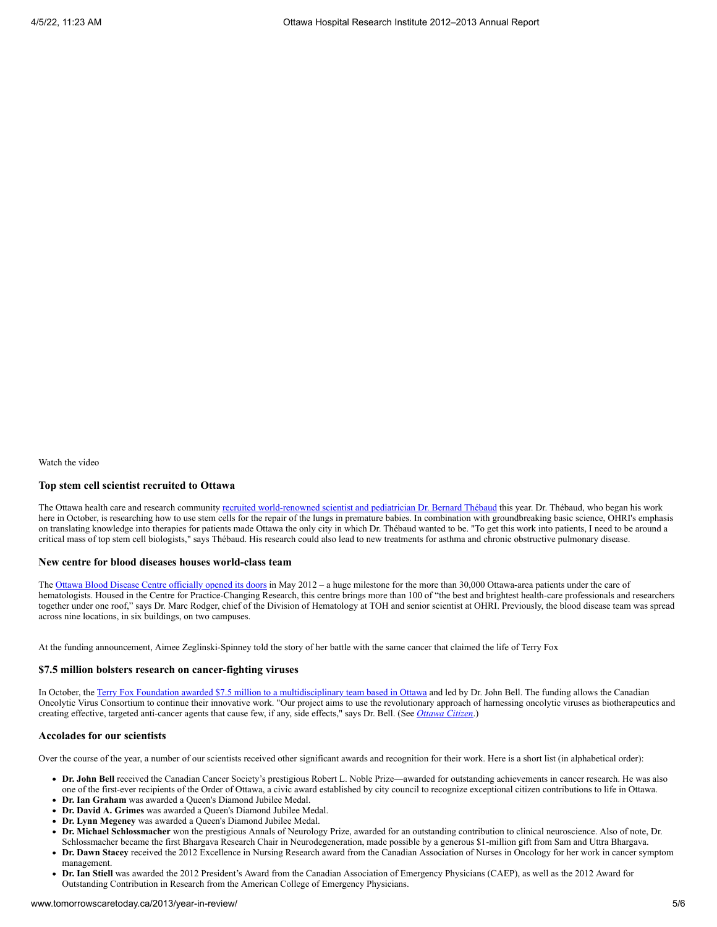#### **Top stem cell scientist recruited to Ottawa**

The Ottawa health care and research community [recruited world-renowned scientist and pediatrician Dr. Bernard Thébaud](http://www.ohri.ca/newsroom/newsstory.asp?ID=317) this year. Dr. Thébaud, who began his work here in October, is researching how to use stem cells for the repair of the lungs in premature babies. In combination with groundbreaking basic science, OHRI's emphasis on translating knowledge into therapies for patients made Ottawa the only city in which Dr. Thébaud wanted to be. "To get this work into patients, I need to be around a critical mass of top stem cell biologists," says Thébaud. His research could also lead to new treatments for asthma and chronic obstructive pulmonary disease.

#### **New centre for blood diseases houses world-class team**

The [Ottawa Blood Disease Centre officially opened its doors](http://www.ohri.ca/newsroom/newsstory.asp?ID=318) in May 2012 – a huge milestone for the more than 30,000 Ottawa-area patients under the care of hematologists. Housed in the Centre for Practice-Changing Research, this centre brings more than 100 of "the best and brightest health-care professionals and researchers together under one roof," says Dr. Marc Rodger, chief of the Division of Hematology at TOH and senior scientist at OHRI. Previously, the blood disease team was spread across nine locations, in six buildings, on two campuses.

At the funding announcement, Aimee Zeglinski-Spinney told the story of her battle with the same cancer that claimed the life of Terry Fox

#### **\$7.5 million bolsters research on cancer-fighting viruses**

In October, the [Terry Fox Foundation awarded \\$7.5 million to a multidisciplinary team based in Ottawa](http://www.newswire.ca/en/story/1050887/the-terry-fox-foundation-provides-13-4-million-for-world-class-novel-research-into-fighting-cancer-with-viruses-and-finding-ways-to-treat-acute-leukem) and led by Dr. John Bell. The funding allows the Canadian Oncolytic Virus Consortium to continue their innovative work. "Our project aims to use the revolutionary approach of harnessing oncolytic viruses as biotherapeutics and creating effective, targeted anti-cancer agents that cause few, if any, side effects," says Dr. Bell. (See *[Ottawa Citizen](http://www.ottawacitizen.com/health/Ottawa+research+team+gets+from+Terry+Foundation/7376299/story.html)*.)

#### **Accolades for our scientists**

Over the course of the year, a number of our scientists received other significant awards and recognition for their work. Here is a short list (in alphabetical order):

- **Dr. John Bell** received the Canadian Cancer Society's prestigious Robert L. Noble Prize—awarded for outstanding achievements in cancer research. He was also one of the first-ever recipients of the Order of Ottawa, a civic award established by city council to recognize exceptional citizen contributions to life in Ottawa.
- **Dr. Ian Graham** was awarded a Queen's Diamond Jubilee Medal.
- **Dr. David A. Grimes** was awarded a Queen's Diamond Jubilee Medal.
- **Dr. Lynn Megeney** was awarded a Queen's Diamond Jubilee Medal.
- $\bullet$ **Dr. Michael Schlossmacher** won the prestigious Annals of Neurology Prize, awarded for an outstanding contribution to clinical neuroscience. Also of note, Dr. Schlossmacher became the first Bhargava Research Chair in Neurodegeneration, made possible by a generous \$1-million gift from Sam and Uttra Bhargava.
- **Dr. Dawn Stacey** received the 2012 Excellence in Nursing Research award from the Canadian Association of Nurses in Oncology for her work in cancer symptom management.
- **Dr. Ian Stiell** was awarded the 2012 President's Award from the Canadian Association of Emergency Physicians (CAEP), as well as the 2012 Award for Outstanding Contribution in Research from the American College of Emergency Physicians.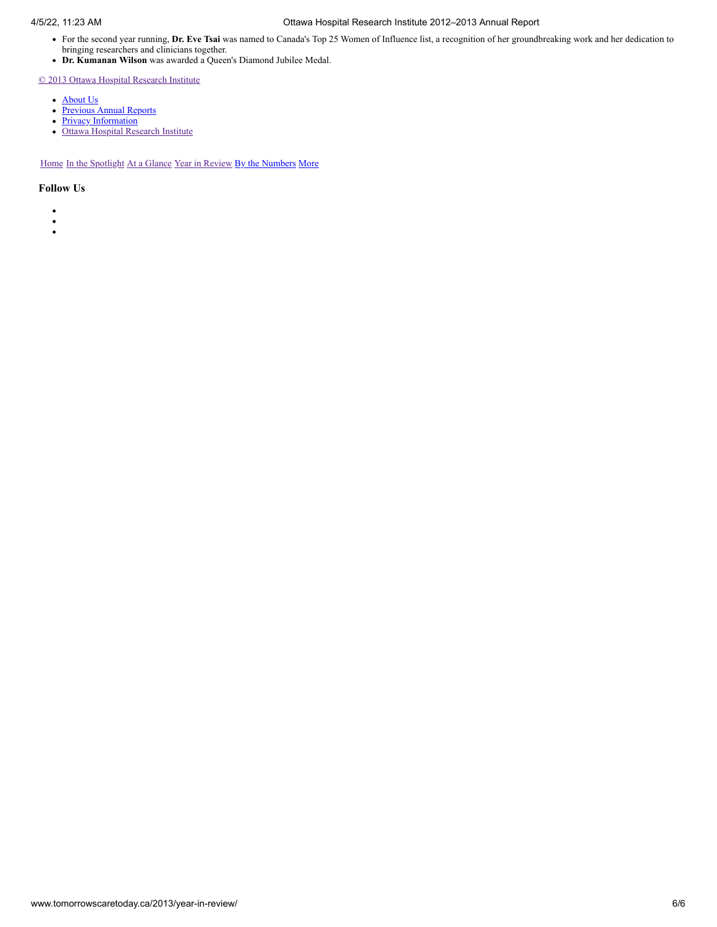- For the second year running, **Dr. Eve Tsai** was named to Canada's Top 25 Women of Influence list, a recognition of her groundbreaking work and her dedication to bringing researchers and clinicians together.
- **Dr. Kumanan Wilson** was awarded a Queen's Diamond Jubilee Medal.

[© 2013 Ottawa Hospital Research Institute](http://www.tomorrowscaretoday.ca/2013/)

- [About Us](http://www.tomorrowscaretoday.ca/2013/about-us/)
- [Previous Annual Reports](http://www.tomorrowscaretoday.ca/2013/previous-reports/)
- [Privacy Information](http://www.tomorrowscaretoday.ca/2013/privacy/)
- [Ottawa Hospital Research Institute](http://www.ohri.ca/)

[Home](http://www.tomorrowscaretoday.ca/2013/) [In the Spotlight](http://www.tomorrowscaretoday.ca/2013/spotlight/) [At a Glance](http://www.tomorrowscaretoday.ca/2013/at-a-glance/) [Year in Review](http://www.tomorrowscaretoday.ca/2013/year-in-review/) [By the Numbers](http://www.tomorrowscaretoday.ca/2013/by-the-numbers/) [More](#page-13-0)

- $\bullet$
- $\ddot{\cdot}$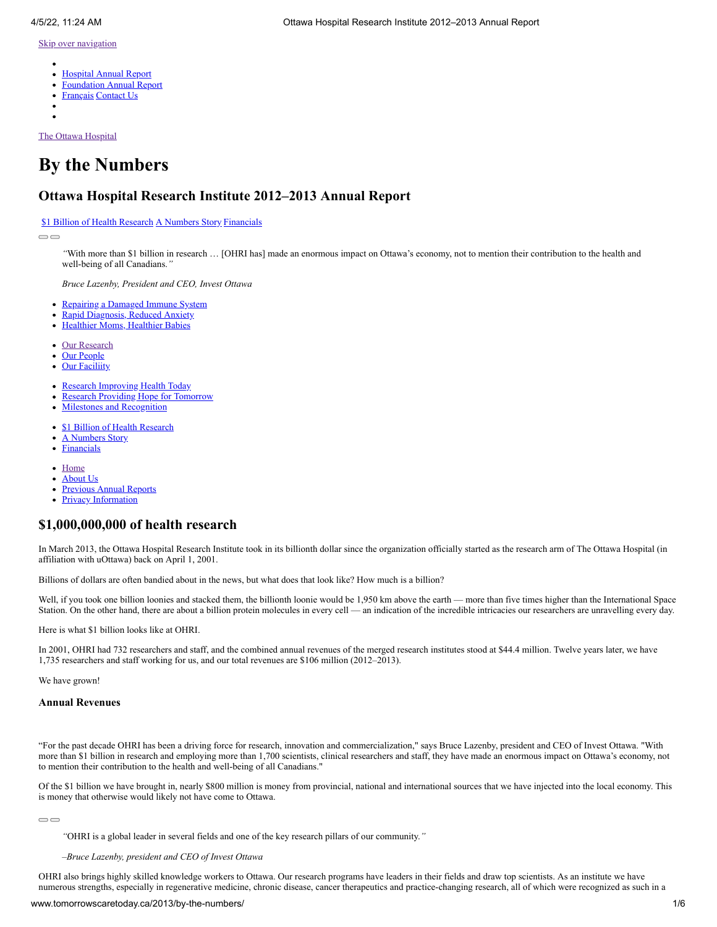- <span id="page-17-1"></span> $\bullet$ [Hospital Annual Report](http://www.worldclasscare.ca/2013/by-the-numbers/)
- [Foundation Annual Report](http://ohfoundation.ca/sites/default/files/annual_report_12-13-e.pdf)
- [Français](http://www.soinsdedemain.ca/2013/by-the-numbers/) [Contact Us](http://www.tomorrowscaretoday.ca/2013/contact-us/)
- 
- 

[The Ottawa Hospital](http://www.tomorrowscaretoday.ca/2013/)

# **By the Numbers**

### **Ottawa Hospital Research Institute 2012–2013 Annual Report**

#### [\\$1 Billion of Health Research](http://www.tomorrowscaretoday.ca/2013/by-the-numbers/#billion-dollar-story) [A Numbers Story](http://www.tomorrowscaretoday.ca/2013/by-the-numbers/#a-numbers-story) [Financials](http://www.tomorrowscaretoday.ca/2013/by-the-numbers/#financials)

 $\Box$ 

*"*With more than \$1 billion in research … [OHRI has] made an enormous impact on Ottawa's economy, not to mention their contribution to the health and well-being of all Canadians.*"*

*Bruce Lazenby, President and CEO, Invest Ottawa*

- $\bullet$ [Repairing a Damaged Immune System](http://www.tomorrowscaretoday.ca/2013/spotlight/#repairing-a-damaged-immune-system)
- [Rapid Diagnosis, Reduced Anxiety](http://www.tomorrowscaretoday.ca/2013/spotlight/#rapid-diagnosis-reduced-anxiety)
- [Healthier Moms, Healthier Babies](http://www.tomorrowscaretoday.ca/2013/spotlight/#healthier-moms-healthier-babies)
- [Our Research](http://www.tomorrowscaretoday.ca/2013/at-a-glance/#our-research)  $\bullet$
- [Our People](http://www.tomorrowscaretoday.ca/2013/at-a-glance/#our-people)
- **[Our Faciliity](http://www.tomorrowscaretoday.ca/2013/at-a-glance/#our-facility)**  $\bullet$
- [Research Improving Health Today](http://www.tomorrowscaretoday.ca/2013/year-in-review/#research-improving-health-today)  $\bullet$
- $\bullet$ [Research Providing Hope for Tomorrow](http://www.tomorrowscaretoday.ca/2013/year-in-review/#research-providing-hope-for-tomorrow)
- [Milestones and Recognition](http://www.tomorrowscaretoday.ca/2013/year-in-review/#milestones-and-recognition)
- [\\$1 Billion of Health Research](http://www.tomorrowscaretoday.ca/2013/by-the-numbers/#billion-dollar-story)
- [A Numbers Story](http://www.tomorrowscaretoday.ca/2013/by-the-numbers/#a-numbers-story)
- **[Financials](http://www.tomorrowscaretoday.ca/2013/by-the-numbers/#financials)**
- [Home](http://www.tomorrowscaretoday.ca/2013/)
- [About Us](http://www.tomorrowscaretoday.ca/2013/about-us/)
- [Previous Annual Reports](http://www.tomorrowscaretoday.ca/2013/previous-reports/)
- $\bullet$ [Privacy Information](http://www.tomorrowscaretoday.ca/2013/privacy/)

### <span id="page-17-0"></span>**\$1,000,000,000 of health research**

In March 2013, the Ottawa Hospital Research Institute took in its billionth dollar since the organization officially started as the research arm of The Ottawa Hospital (in affiliation with uOttawa) back on April 1, 2001.

Billions of dollars are often bandied about in the news, but what does that look like? How much is a billion?

Well, if you took one billion loonies and stacked them, the billionth loonie would be 1,950 km above the earth — more than five times higher than the International Space Station. On the other hand, there are about a billion protein molecules in every cell — an indication of the incredible intricacies our researchers are unravelling every day.

Here is what \$1 billion looks like at OHRI.

In 2001, OHRI had 732 researchers and staff, and the combined annual revenues of the merged research institutes stood at \$44.4 million. Twelve years later, we have 1,735 researchers and staff working for us, and our total revenues are \$106 million (2012–2013).

We have grown!

#### **Annual Revenues**

"For the past decade OHRI has been a driving force for research, innovation and commercialization," says Bruce Lazenby, president and CEO of Invest Ottawa. "With more than \$1 billion in research and employing more than 1,700 scientists, clinical researchers and staff, they have made an enormous impact on Ottawa's economy, not to mention their contribution to the health and well-being of all Canadians."

Of the \$1 billion we have brought in, nearly \$800 million is money from provincial, national and international sources that we have injected into the local economy. This is money that otherwise would likely not have come to Ottawa.

 $\qquad \qquad \qquad \Box$ 

*"*OHRI is a global leader in several fields and one of the key research pillars of our community.*"*

*–Bruce Lazenby, president and CEO of Invest Ottawa*

OHRI also brings highly skilled knowledge workers to Ottawa. Our research programs have leaders in their fields and draw top scientists. As an institute we have numerous strengths, especially in regenerative medicine, chronic disease, cancer therapeutics and practice-changing research, all of which were recognized as such in a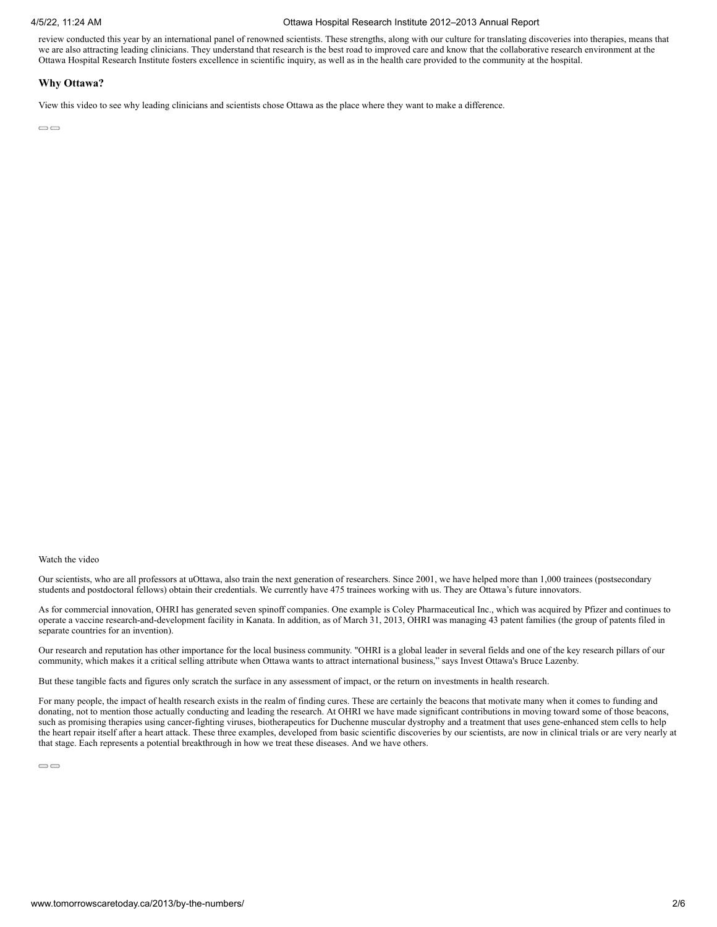review conducted this year by an international panel of renowned scientists. These strengths, along with our culture for translating discoveries into therapies, means that we are also attracting leading clinicians. They understand that research is the best road to improved care and know that the collaborative research environment at the Ottawa Hospital Research Institute fosters excellence in scientific inquiry, as well as in the health care provided to the community at the hospital.

#### **Why Ottawa?**

View this video to see why leading clinicians and scientists chose Ottawa as the place where they want to make a difference.

 $\bigcirc$ 

#### Watch the video

Our scientists, who are all professors at uOttawa, also train the next generation of researchers. Since 2001, we have helped more than 1,000 trainees (postsecondary students and postdoctoral fellows) obtain their credentials. We currently have 475 trainees working with us. They are Ottawa's future innovators.

As for commercial innovation, OHRI has generated seven spinoff companies. One example is Coley Pharmaceutical Inc., which was acquired by Pfizer and continues to operate a vaccine research-and-development facility in Kanata. In addition, as of March 31, 2013, OHRI was managing 43 patent families (the group of patents filed in separate countries for an invention).

Our research and reputation has other importance for the local business community. "OHRI is a global leader in several fields and one of the key research pillars of our community, which makes it a critical selling attribute when Ottawa wants to attract international business," says Invest Ottawa's Bruce Lazenby.

But these tangible facts and figures only scratch the surface in any assessment of impact, or the return on investments in health research.

For many people, the impact of health research exists in the realm of finding cures. These are certainly the beacons that motivate many when it comes to funding and donating, not to mention those actually conducting and leading the research. At OHRI we have made significant contributions in moving toward some of those beacons, such as promising therapies using cancer-fighting viruses, biotherapeutics for Duchenne muscular dystrophy and a treatment that uses gene-enhanced stem cells to help the heart repair itself after a heart attack. These three examples, developed from basic scientific discoveries by our scientists, are now in clinical trials or are very nearly at that stage. Each represents a potential breakthrough in how we treat these diseases. And we have others.

 $\qquad \qquad \Box$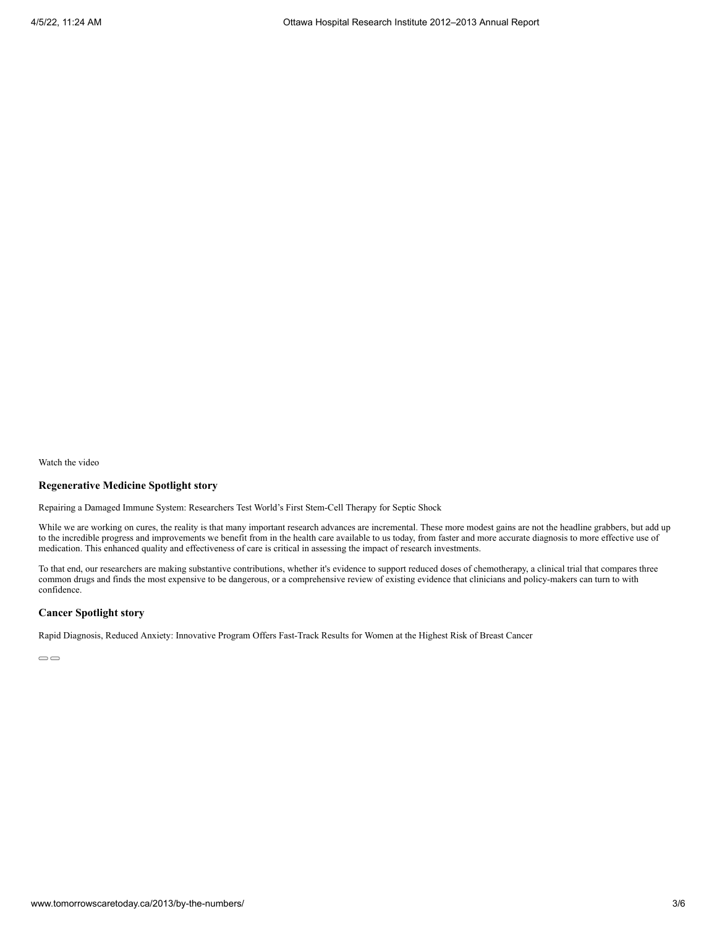#### **Regenerative Medicine Spotlight story**

Repairing a Damaged Immune System: Researchers Test World's First Stem-Cell Therapy for Septic Shock

While we are working on cures, the reality is that many important research advances are incremental. These more modest gains are not the headline grabbers, but add up to the incredible progress and improvements we benefit from in the health care available to us today, from faster and more accurate diagnosis to more effective use of medication. This enhanced quality and effectiveness of care is critical in assessing the impact of research investments.

To that end, our researchers are making substantive contributions, whether it's evidence to support reduced doses of chemotherapy, a clinical trial that compares three common drugs and finds the most expensive to be dangerous, or a comprehensive review of existing evidence that clinicians and policy-makers can turn to with confidence.

#### **Cancer Spotlight story**

Rapid Diagnosis, Reduced Anxiety: Innovative Program Offers Fast-Track Results for Women at the Highest Risk of Breast Cancer

 $\qquad \qquad \Box$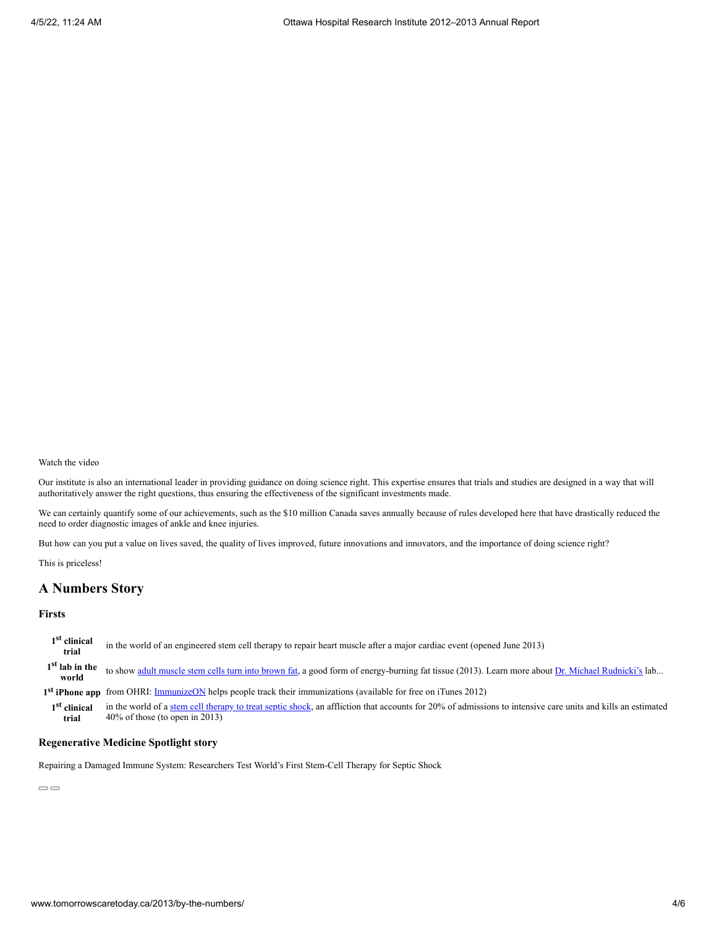Our institute is also an international leader in providing guidance on doing science right. This expertise ensures that trials and studies are designed in a way that will authoritatively answer the right questions, thus ensuring the effectiveness of the significant investments made.

We can certainly quantify some of our achievements, such as the \$10 million Canada saves annually because of rules developed here that have drastically reduced the need to order diagnostic images of ankle and knee injuries.

But how can you put a value on lives saved, the quality of lives improved, future innovations and innovators, and the importance of doing science right?

This is priceless!

# **A Numbers Story**

#### **Firsts**

**1 st clinical trial** in the world of an engineered stem cell therapy to repair heart muscle after a major cardiac event (opened June 2013) **1 st lab in the world** to show [adult muscle stem cells turn into brown fat](http://www.ohri.ca/newsroom/newsstory.asp?ID=331), a good form of energy-burning fat tissue (2013). Learn more about [Dr. Michael Rudnicki's](http://www.ohri.ca/Profiles/rudnicki.asp) lab... 1<sup>st</sup> **iPhone app** from OHRI: **ImmunizeON** helps people track their immunizations (available for free on iTunes 2012) **1 st clinical trial** in the world of a [stem cell therapy to treat septic shock,](http://www.ohri.ca/newsroom/newsstory.asp?ID=306) an affliction that accounts for 20% of admissions to intensive care units and kills an estimated 40% of those (to open in 2013)

#### **Regenerative Medicine Spotlight story**

Repairing a Damaged Immune System: Researchers Test World's First Stem-Cell Therapy for Septic Shock

 $\overline{\bigcirc}$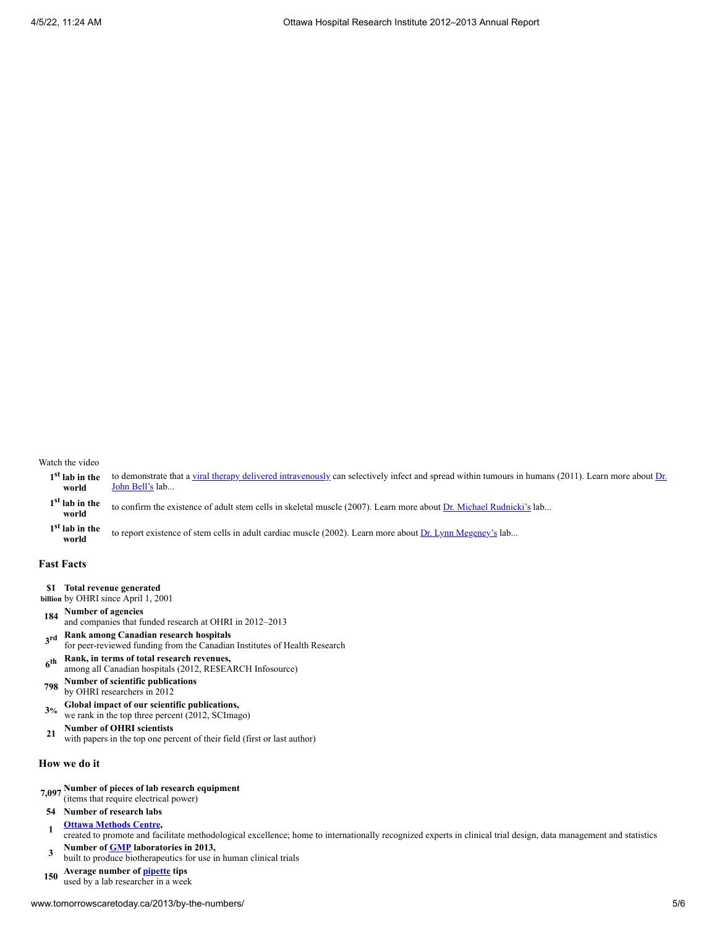|       | 1 <sup>st</sup> lab in the to demonstrate that a <u>viral therapy delivered intravenously</u> can selectively infect and spread within tumours in humans (2011). Learn more about $Dr$ . |
|-------|------------------------------------------------------------------------------------------------------------------------------------------------------------------------------------------|
| world | John Bell's lab                                                                                                                                                                          |

**1 st lab in the world** to confirm the existence of adult stem cells in skeletal muscle (2007). Learn more about [Dr. Michael Rudnicki's](http://www.ohri.ca/Profiles/rudnicki.asp) lab...

**1 st lab in the world** to report existence of stem cells in adult cardiac muscle (2002). Learn more about [Dr. Lynn Megeney's](http://www.ohri.ca/Profiles/megeney.asp) lab...

#### **Fast Facts**

- **\$1 Total revenue generated**
- **billion** by OHRI since April 1, 2001
- **<sup>184</sup> Number of agencies**
- and companies that funded research at OHRI in 2012–2013
- **3 Rank among Canadian research hospitals** for peer-reviewed funding from the Canadian Institutes of Health Research
- **6 th Rank, in terms of total research revenues,** among all Canadian hospitals (2012, RE\$EARCH Infosource)
- **<sup>798</sup> Number of scientific publications** by OHRI researchers in 2012
- **3% Global impact of our scientific publications,** we rank in the top three percent (2012, SCImago)
- **<sup>21</sup> Number of OHRI scientists**
- with papers in the top one percent of their field (first or last author)

#### **How we do it**

- **7,097 Number of pieces of lab research equipment**
- (items that require electrical power)

### **54 Number of research labs**

- **<sup>1</sup> [Ottawa Methods Centre,](http://www.ohri.ca/programs/clinical_epidemiology/MethodsCentre/)** created to promote and facilitate methodological excellence; home to internationally recognized experts in clinical trial design, data management and statistics
- **<sup>3</sup> Number of [GMP](http://en.wikipedia.org/wiki/Good_manufacturing_practice) laboratories in 2013,** built to produce biotherapeutics for use in human clinical trials
- **<sup>150</sup> Average number of [pipette](http://en.wikipedia.org/wiki/Pipette) tips** used by a lab researcher in a week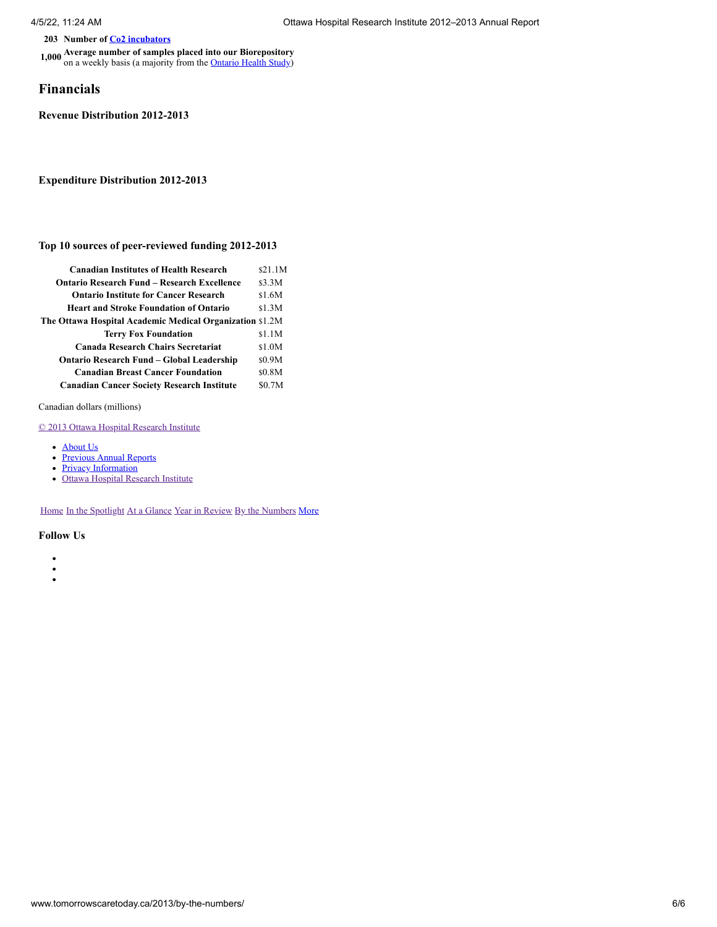**203 Number of [Co2 incubators](http://en.wikipedia.org/wiki/Co2_incubator)**

**1,000 Average number of samples placed into our Biorepository** on a weekly basis (a majority from the [Ontario Health Study](https://www.ontariohealthstudy.ca/))

### **Financials**

**Revenue Distribution 2012-2013**

### **Expenditure Distribution 2012-2013**

#### **Top 10 sources of peer-reviewed funding 2012-2013**

| <b>Canadian Institutes of Health Research</b>            | \$21.1M |
|----------------------------------------------------------|---------|
| <b>Ontario Research Fund – Research Excellence</b>       | \$3.3M  |
| <b>Ontario Institute for Cancer Research</b>             | \$1.6M  |
| <b>Heart and Stroke Foundation of Ontario</b>            | \$1.3M  |
| The Ottawa Hospital Academic Medical Organization \$1.2M |         |
| <b>Terry Fox Foundation</b>                              | \$1.1M  |
| Canada Research Chairs Secretariat                       | \$1.0M  |
| Ontario Research Fund – Global Leadership                | \$0.9M  |
| <b>Canadian Breast Cancer Foundation</b>                 | \$0.8M  |
| <b>Canadian Cancer Society Research Institute</b>        | \$0.7M  |
|                                                          |         |

Canadian dollars (millions)

[© 2013 Ottawa Hospital Research Institute](http://www.tomorrowscaretoday.ca/2013/)

- [About Us](http://www.tomorrowscaretoday.ca/2013/about-us/)
- **[Previous Annual Reports](http://www.tomorrowscaretoday.ca/2013/previous-reports/)**
- **[Privacy Information](http://www.tomorrowscaretoday.ca/2013/privacy/)**
- [Ottawa Hospital Research Institute](http://www.ohri.ca/)

[Home](http://www.tomorrowscaretoday.ca/2013/) [In the Spotlight](http://www.tomorrowscaretoday.ca/2013/spotlight/) [At a Glance](http://www.tomorrowscaretoday.ca/2013/at-a-glance/) [Year in Review](http://www.tomorrowscaretoday.ca/2013/year-in-review/) [By the Numbers](http://www.tomorrowscaretoday.ca/2013/by-the-numbers/) [More](#page-17-1)

- $\bullet$
- $\bullet$  $\bullet$
-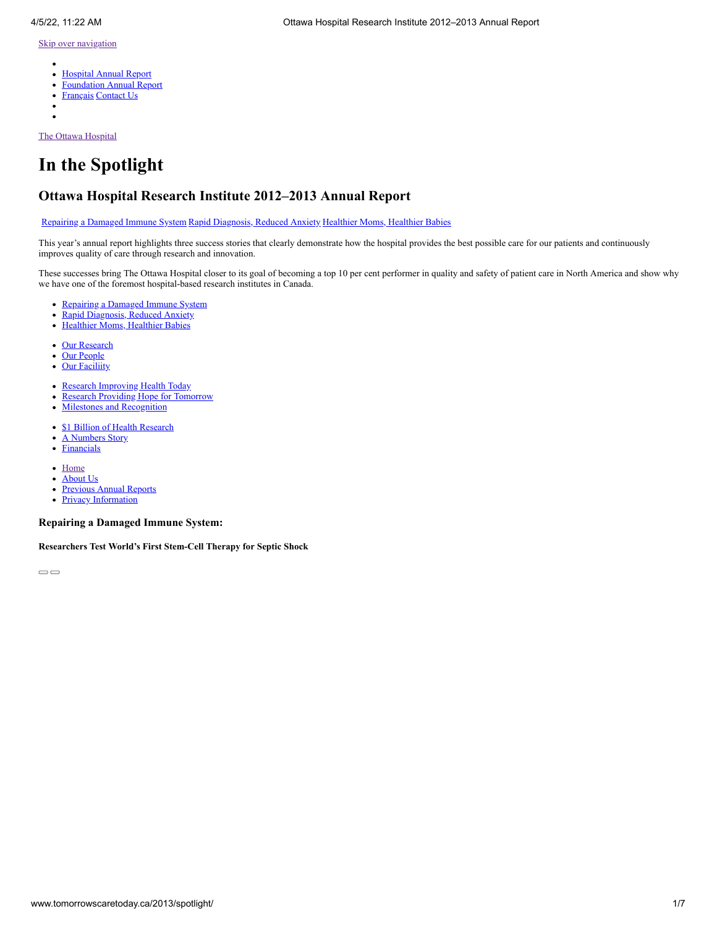- <span id="page-23-1"></span>[Hospital Annual Report](http://www.worldclasscare.ca/2013/spotlight/)
- [Foundation Annual Report](http://ohfoundation.ca/sites/default/files/annual_report_12-13-e.pdf)  $\bullet$
- [Français](http://www.soinsdedemain.ca/2013/spotlight/) [Contact Us](http://www.tomorrowscaretoday.ca/2013/contact-us/)  $\bullet$
- 

[The Ottawa Hospital](http://www.tomorrowscaretoday.ca/2013/)

# **In the Spotlight**

# **Ottawa Hospital Research Institute 2012–2013 Annual Report**

[Repairing a Damaged Immune System](http://www.tomorrowscaretoday.ca/2013/spotlight/#repairing-a-damaged-immune-system) [Rapid Diagnosis, Reduced Anxiety](http://www.tomorrowscaretoday.ca/2013/spotlight/#rapid-diagnosis-reduced-anxiety) [Healthier Moms, Healthier Babies](http://www.tomorrowscaretoday.ca/2013/spotlight/#healthier-moms-healthier-babies)

This year's annual report highlights three success stories that clearly demonstrate how the hospital provides the best possible care for our patients and continuously improves quality of care through research and innovation.

These successes bring The Ottawa Hospital closer to its goal of becoming a top 10 per cent performer in quality and safety of patient care in North America and show why we have one of the foremost hospital-based research institutes in Canada.

- [Repairing a Damaged Immune System](http://www.tomorrowscaretoday.ca/2013/spotlight/#repairing-a-damaged-immune-system)
- [Rapid Diagnosis, Reduced Anxiety](http://www.tomorrowscaretoday.ca/2013/spotlight/#rapid-diagnosis-reduced-anxiety)
- [Healthier Moms, Healthier Babies](http://www.tomorrowscaretoday.ca/2013/spotlight/#healthier-moms-healthier-babies)
- [Our Research](http://www.tomorrowscaretoday.ca/2013/at-a-glance/#our-research)
- [Our People](http://www.tomorrowscaretoday.ca/2013/at-a-glance/#our-people)  $\bullet$
- **[Our Faciliity](http://www.tomorrowscaretoday.ca/2013/at-a-glance/#our-facility)**  $\bullet$
- $\bullet$ [Research Improving Health Today](http://www.tomorrowscaretoday.ca/2013/year-in-review/#research-improving-health-today)
- [Research Providing Hope for Tomorrow](http://www.tomorrowscaretoday.ca/2013/year-in-review/#research-providing-hope-for-tomorrow)  $\bullet$
- [Milestones and Recognition](http://www.tomorrowscaretoday.ca/2013/year-in-review/#milestones-and-recognition)  $\bullet$
- [\\$1 Billion of Health Research](http://www.tomorrowscaretoday.ca/2013/by-the-numbers/#billion-dollar-story)
- [A Numbers Story](http://www.tomorrowscaretoday.ca/2013/by-the-numbers/#a-numbers-story)  $\bullet$
- [Financials](http://www.tomorrowscaretoday.ca/2013/by-the-numbers/#financials)  $\bullet$
- [Home](http://www.tomorrowscaretoday.ca/2013/)
- [About Us](http://www.tomorrowscaretoday.ca/2013/about-us/)  $\bullet$
- [Previous Annual Reports](http://www.tomorrowscaretoday.ca/2013/previous-reports/)  $\bullet$
- $\bullet$ **[Privacy Information](http://www.tomorrowscaretoday.ca/2013/privacy/)**

<span id="page-23-0"></span>**Repairing a Damaged Immune System:**

**Researchers Test World's First Stem-Cell Therapy for Septic Shock**

 $\overline{\bigcirc}$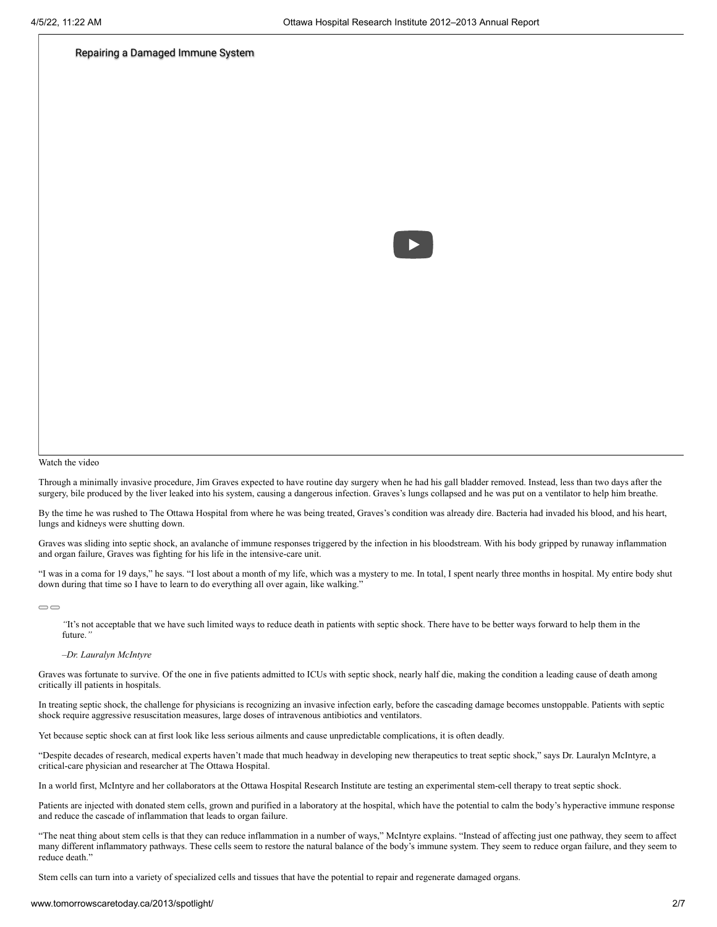#### [Repairing a Damaged Immune System](https://www.youtube.com/watch?v=75AF0vwbVcA)



#### Watch the video

Through a minimally invasive procedure, Jim Graves expected to have routine day surgery when he had his gall bladder removed. Instead, less than two days after the surgery, bile produced by the liver leaked into his system, causing a dangerous infection. Graves's lungs collapsed and he was put on a ventilator to help him breathe.

By the time he was rushed to The Ottawa Hospital from where he was being treated, Graves's condition was already dire. Bacteria had invaded his blood, and his heart, lungs and kidneys were shutting down.

Graves was sliding into septic shock, an avalanche of immune responses triggered by the infection in his bloodstream. With his body gripped by runaway inflammation and organ failure, Graves was fighting for his life in the intensive-care unit.

"I was in a coma for 19 days," he says. "I lost about a month of my life, which was a mystery to me. In total, I spent nearly three months in hospital. My entire body shut down during that time so I have to learn to do everything all over again, like walking."

 $\bigcirc$ 

*"*It's not acceptable that we have such limited ways to reduce death in patients with septic shock. There have to be better ways forward to help them in the future.*"*

*–Dr. Lauralyn McIntyre*

Graves was fortunate to survive. Of the one in five patients admitted to ICUs with septic shock, nearly half die, making the condition a leading cause of death among critically ill patients in hospitals.

In treating septic shock, the challenge for physicians is recognizing an invasive infection early, before the cascading damage becomes unstoppable. Patients with septic shock require aggressive resuscitation measures, large doses of intravenous antibiotics and ventilators.

Yet because septic shock can at first look like less serious ailments and cause unpredictable complications, it is often deadly.

"Despite decades of research, medical experts haven't made that much headway in developing new therapeutics to treat septic shock," says Dr. Lauralyn McIntyre, a critical-care physician and researcher at The Ottawa Hospital.

In a world first, McIntyre and her collaborators at the Ottawa Hospital Research Institute are testing an experimental stem-cell therapy to treat septic shock.

Patients are injected with donated stem cells, grown and purified in a laboratory at the hospital, which have the potential to calm the body's hyperactive immune response and reduce the cascade of inflammation that leads to organ failure.

"The neat thing about stem cells is that they can reduce inflammation in a number of ways," McIntyre explains. "Instead of affecting just one pathway, they seem to affect many different inflammatory pathways. These cells seem to restore the natural balance of the body's immune system. They seem to reduce organ failure, and they seem to reduce death."

Stem cells can turn into a variety of specialized cells and tissues that have the potential to repair and regenerate damaged organs.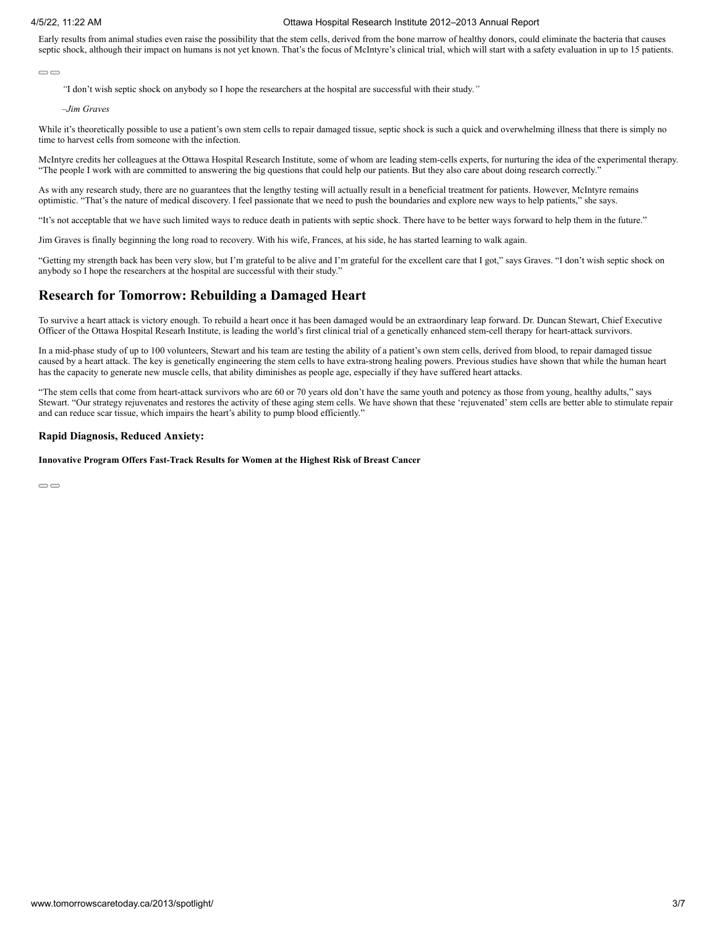Early results from animal studies even raise the possibility that the stem cells, derived from the bone marrow of healthy donors, could eliminate the bacteria that causes septic shock, although their impact on humans is not yet known. That's the focus of McIntyre's clinical trial, which will start with a safety evaluation in up to 15 patients.

#### $\bigcirc$

*"*I don't wish septic shock on anybody so I hope the researchers at the hospital are successful with their study.*"*

*–Jim Graves*

While it's theoretically possible to use a patient's own stem cells to repair damaged tissue, septic shock is such a quick and overwhelming illness that there is simply no time to harvest cells from someone with the infection.

McIntyre credits her colleagues at the Ottawa Hospital Research Institute, some of whom are leading stem-cells experts, for nurturing the idea of the experimental therapy. "The people I work with are committed to answering the big questions that could help our patients. But they also care about doing research correctly."

As with any research study, there are no guarantees that the lengthy testing will actually result in a beneficial treatment for patients. However, McIntyre remains optimistic. "That's the nature of medical discovery. I feel passionate that we need to push the boundaries and explore new ways to help patients," she says.

"It's not acceptable that we have such limited ways to reduce death in patients with septic shock. There have to be better ways forward to help them in the future."

Jim Graves is finally beginning the long road to recovery. With his wife, Frances, at his side, he has started learning to walk again.

"Getting my strength back has been very slow, but I'm grateful to be alive and I'm grateful for the excellent care that I got," says Graves. "I don't wish septic shock on anybody so I hope the researchers at the hospital are successful with their study."

### **Research for Tomorrow: Rebuilding a Damaged Heart**

To survive a heart attack is victory enough. To rebuild a heart once it has been damaged would be an extraordinary leap forward. Dr. Duncan Stewart, Chief Executive Officer of the Ottawa Hospital Researh Institute, is leading the world's first clinical trial of a genetically enhanced stem-cell therapy for heart-attack survivors.

In a mid-phase study of up to 100 volunteers, Stewart and his team are testing the ability of a patient's own stem cells, derived from blood, to repair damaged tissue caused by a heart attack. The key is genetically engineering the stem cells to have extra-strong healing powers. Previous studies have shown that while the human heart has the capacity to generate new muscle cells, that ability diminishes as people age, especially if they have suffered heart attacks.

"The stem cells that come from heart-attack survivors who are 60 or 70 years old don't have the same youth and potency as those from young, healthy adults," says Stewart. "Our strategy rejuvenates and restores the activity of these aging stem cells. We have shown that these 'rejuvenated' stem cells are better able to stimulate repair and can reduce scar tissue, which impairs the heart's ability to pump blood efficiently."

#### **Rapid Diagnosis, Reduced Anxiety:**

#### **Innovative Program Offers Fast-Track Results for Women at the Highest Risk of Breast Cancer**

 $\qquad \qquad \qquad \qquad \Box$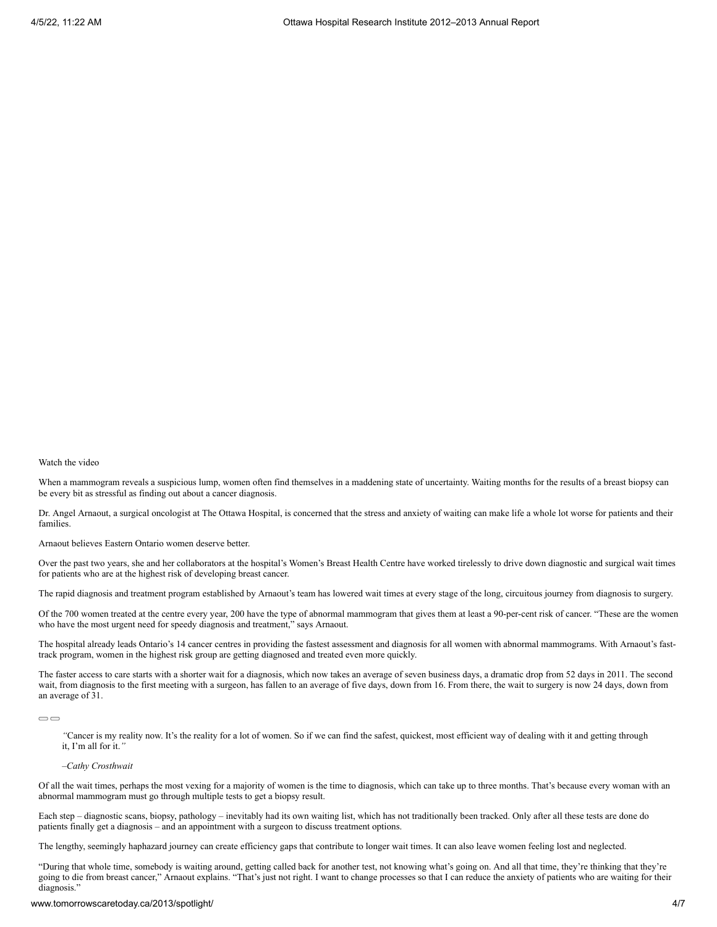When a mammogram reveals a suspicious lump, women often find themselves in a maddening state of uncertainty. Waiting months for the results of a breast biopsy can be every bit as stressful as finding out about a cancer diagnosis.

Dr. Angel Arnaout, a surgical oncologist at The Ottawa Hospital, is concerned that the stress and anxiety of waiting can make life a whole lot worse for patients and their families.

Arnaout believes Eastern Ontario women deserve better.

Over the past two years, she and her collaborators at the hospital's Women's Breast Health Centre have worked tirelessly to drive down diagnostic and surgical wait times for patients who are at the highest risk of developing breast cancer.

The rapid diagnosis and treatment program established by Arnaout's team has lowered wait times at every stage of the long, circuitous journey from diagnosis to surgery.

Of the 700 women treated at the centre every year, 200 have the type of abnormal mammogram that gives them at least a 90-per-cent risk of cancer. "These are the women who have the most urgent need for speedy diagnosis and treatment," says Arnaout.

The hospital already leads Ontario's 14 cancer centres in providing the fastest assessment and diagnosis for all women with abnormal mammograms. With Arnaout's fasttrack program, women in the highest risk group are getting diagnosed and treated even more quickly.

The faster access to care starts with a shorter wait for a diagnosis, which now takes an average of seven business days, a dramatic drop from 52 days in 2011. The second wait, from diagnosis to the first meeting with a surgeon, has fallen to an average of five days, down from 16. From there, the wait to surgery is now 24 days, down from an average of 31.

 $\bigcirc$ 

*"*Cancer is my reality now. It's the reality for a lot of women. So if we can find the safest, quickest, most efficient way of dealing with it and getting through it, I'm all for it.*"*

#### *–Cathy Crosthwait*

Of all the wait times, perhaps the most vexing for a majority of women is the time to diagnosis, which can take up to three months. That's because every woman with an abnormal mammogram must go through multiple tests to get a biopsy result.

Each step – diagnostic scans, biopsy, pathology – inevitably had its own waiting list, which has not traditionally been tracked. Only after all these tests are done do patients finally get a diagnosis – and an appointment with a surgeon to discuss treatment options.

The lengthy, seemingly haphazard journey can create efficiency gaps that contribute to longer wait times. It can also leave women feeling lost and neglected.

"During that whole time, somebody is waiting around, getting called back for another test, not knowing what's going on. And all that time, they're thinking that they're going to die from breast cancer," Arnaout explains. "That's just not right. I want to change processes so that I can reduce the anxiety of patients who are waiting for their diagnosis."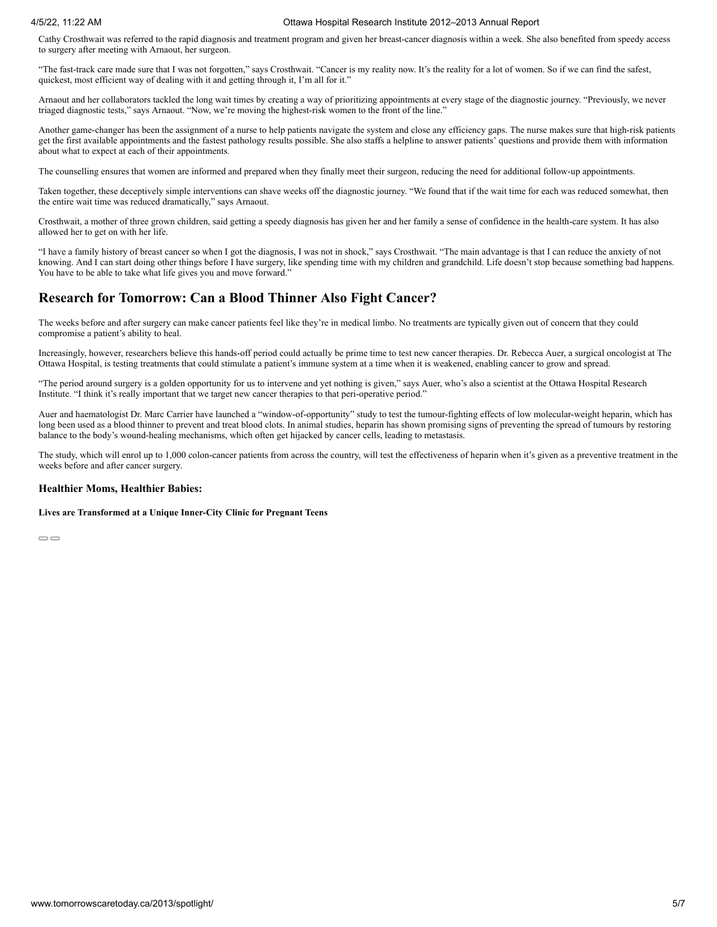Cathy Crosthwait was referred to the rapid diagnosis and treatment program and given her breast-cancer diagnosis within a week. She also benefited from speedy access to surgery after meeting with Arnaout, her surgeon.

"The fast-track care made sure that I was not forgotten," says Crosthwait. "Cancer is my reality now. It's the reality for a lot of women. So if we can find the safest, quickest, most efficient way of dealing with it and getting through it, I'm all for it."

Arnaout and her collaborators tackled the long wait times by creating a way of prioritizing appointments at every stage of the diagnostic journey. "Previously, we never triaged diagnostic tests," says Arnaout. "Now, we're moving the highest-risk women to the front of the line."

Another game-changer has been the assignment of a nurse to help patients navigate the system and close any efficiency gaps. The nurse makes sure that high-risk patients get the first available appointments and the fastest pathology results possible. She also staffs a helpline to answer patients' questions and provide them with information about what to expect at each of their appointments.

The counselling ensures that women are informed and prepared when they finally meet their surgeon, reducing the need for additional follow-up appointments.

Taken together, these deceptively simple interventions can shave weeks off the diagnostic journey. "We found that if the wait time for each was reduced somewhat, then the entire wait time was reduced dramatically," says Arnaout.

Crosthwait, a mother of three grown children, said getting a speedy diagnosis has given her and her family a sense of confidence in the health-care system. It has also allowed her to get on with her life.

"I have a family history of breast cancer so when I got the diagnosis, I was not in shock," says Crosthwait. "The main advantage is that I can reduce the anxiety of not knowing. And I can start doing other things before I have surgery, like spending time with my children and grandchild. Life doesn't stop because something bad happens. You have to be able to take what life gives you and move forward."

## **Research for Tomorrow: Can a Blood Thinner Also Fight Cancer?**

The weeks before and after surgery can make cancer patients feel like they're in medical limbo. No treatments are typically given out of concern that they could compromise a patient's ability to heal.

Increasingly, however, researchers believe this hands-off period could actually be prime time to test new cancer therapies. Dr. Rebecca Auer, a surgical oncologist at The Ottawa Hospital, is testing treatments that could stimulate a patient's immune system at a time when it is weakened, enabling cancer to grow and spread.

"The period around surgery is a golden opportunity for us to intervene and yet nothing is given," says Auer, who's also a scientist at the Ottawa Hospital Research Institute. "I think it's really important that we target new cancer therapies to that peri-operative period."

Auer and haematologist Dr. Marc Carrier have launched a "window-of-opportunity" study to test the tumour-fighting effects of low molecular-weight heparin, which has long been used as a blood thinner to prevent and treat blood clots. In animal studies, heparin has shown promising signs of preventing the spread of tumours by restoring balance to the body's wound-healing mechanisms, which often get hijacked by cancer cells, leading to metastasis.

The study, which will enrol up to 1,000 colon-cancer patients from across the country, will test the effectiveness of heparin when it's given as a preventive treatment in the weeks before and after cancer surgery.

#### **Healthier Moms, Healthier Babies:**

**Lives are Transformed at a Unique Inner-City Clinic for Pregnant Teens**

 $\bigcirc$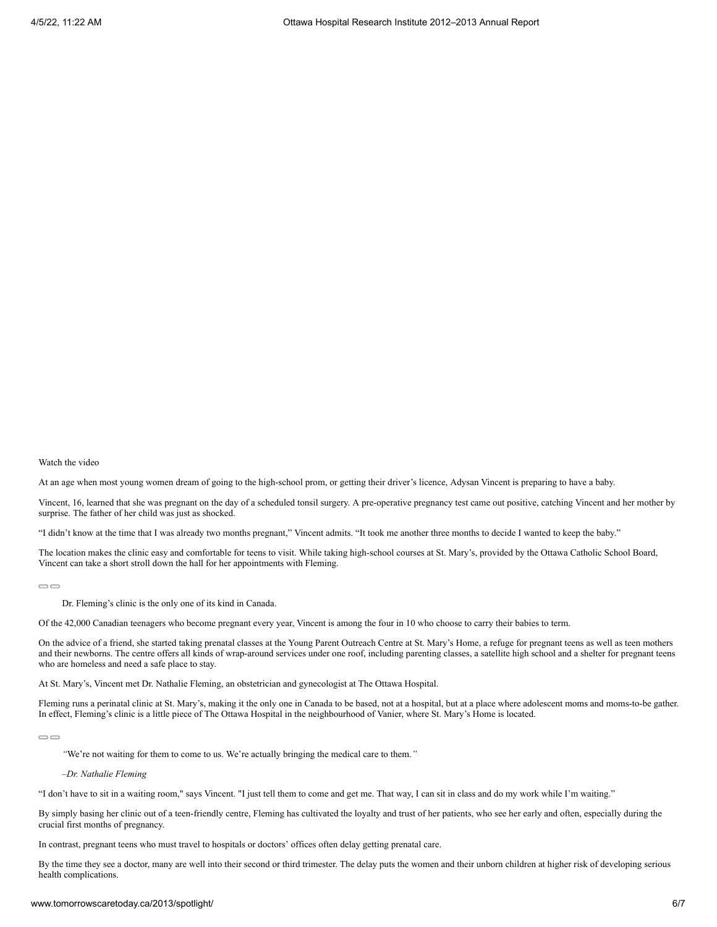At an age when most young women dream of going to the high-school prom, or getting their driver's licence, Adysan Vincent is preparing to have a baby.

Vincent, 16, learned that she was pregnant on the day of a scheduled tonsil surgery. A pre-operative pregnancy test came out positive, catching Vincent and her mother by surprise. The father of her child was just as shocked.

"I didn't know at the time that I was already two months pregnant," Vincent admits. "It took me another three months to decide I wanted to keep the baby."

The location makes the clinic easy and comfortable for teens to visit. While taking high-school courses at St. Mary's, provided by the Ottawa Catholic School Board, Vincent can take a short stroll down the hall for her appointments with Fleming.

 $\bigcirc$ 

Dr. Fleming's clinic is the only one of its kind in Canada.

Of the 42,000 Canadian teenagers who become pregnant every year, Vincent is among the four in 10 who choose to carry their babies to term.

On the advice of a friend, she started taking prenatal classes at the Young Parent Outreach Centre at St. Mary's Home, a refuge for pregnant teens as well as teen mothers and their newborns. The centre offers all kinds of wrap-around services under one roof, including parenting classes, a satellite high school and a shelter for pregnant teens who are homeless and need a safe place to stay.

At St. Mary's, Vincent met Dr. Nathalie Fleming, an obstetrician and gynecologist at The Ottawa Hospital.

Fleming runs a perinatal clinic at St. Mary's, making it the only one in Canada to be based, not at a hospital, but at a place where adolescent moms and moms-to-be gather. In effect, Fleming's clinic is a little piece of The Ottawa Hospital in the neighbourhood of Vanier, where St. Mary's Home is located.

 $\bigcirc$ 

*"*We're not waiting for them to come to us. We're actually bringing the medical care to them.*"*

*–Dr. Nathalie Fleming*

"I don't have to sit in a waiting room," says Vincent. "I just tell them to come and get me. That way, I can sit in class and do my work while I'm waiting."

By simply basing her clinic out of a teen-friendly centre, Fleming has cultivated the loyalty and trust of her patients, who see her early and often, especially during the crucial first months of pregnancy.

In contrast, pregnant teens who must travel to hospitals or doctors' offices often delay getting prenatal care.

By the time they see a doctor, many are well into their second or third trimester. The delay puts the women and their unborn children at higher risk of developing serious health complications.